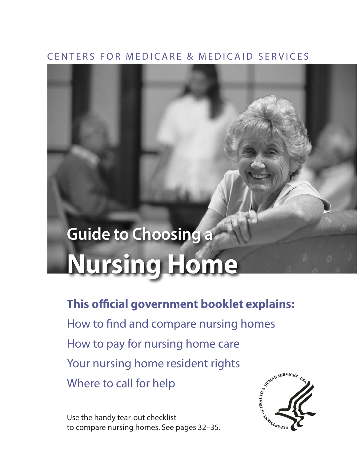#### CENTERS FOR MEDICARE & MEDICAID SERVICES

# **Guide to Choosing a Nursing Home**

## **This official government booklet explains:**

How to find and compare nursing homes How to pay for nursing home care Your nursing home resident rights Where to call for help

Use the handy tear-out checklist to compare nursing homes. See pages 32–35.

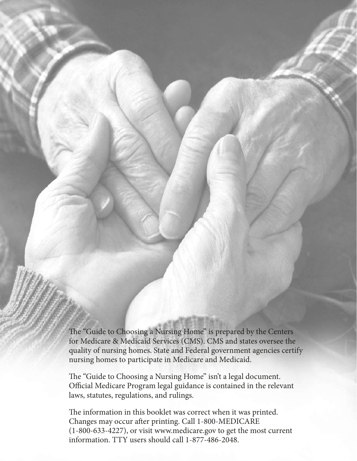The "Guide to Choosing a Nursing Home" is prepared by the Centers for Medicare & Medicaid Services (CMS). CMS and states oversee the quality of nursing homes. State and Federal government agencies certify nursing homes to participate in Medicare and Medicaid.

The "Guide to Choosing a Nursing Home" isn't a legal document. Official Medicare Program legal guidance is contained in the relevant laws, statutes, regulations, and rulings.

The information in this booklet was correct when it was printed. Changes may occur after printing. Call 1-800-MEDICARE (1-800-633-4227), or visit <www.medicare.gov>to get the most current information. TTY users should call 1-877-486-2048.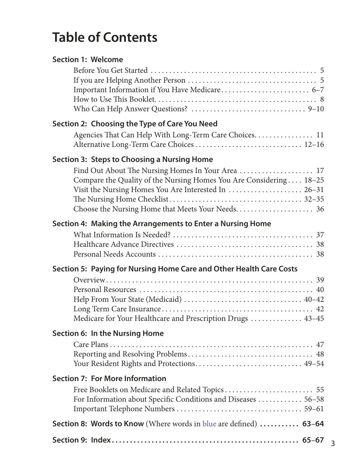# **Table of Contents**

| <b>Section 1: Welcome</b>                                                                                                                                                                                                  |
|----------------------------------------------------------------------------------------------------------------------------------------------------------------------------------------------------------------------------|
|                                                                                                                                                                                                                            |
| Section 2: Choosing the Type of Care You Need                                                                                                                                                                              |
| Agencies That Can Help With Long-Term Care Choices 11                                                                                                                                                                      |
| Section 3: Steps to Choosing a Nursing Home                                                                                                                                                                                |
| Find Out About The Nursing Homes In Your Area  17<br>Compare the Quality of the Nursing Homes You Are Considering 18-25<br>Visit the Nursing Homes You Are Interested In $\ldots \ldots \ldots \ldots \ldots \ldots 26-31$ |
| Section 4: Making the Arrangements to Enter a Nursing Home                                                                                                                                                                 |
|                                                                                                                                                                                                                            |
| Section 5: Paying for Nursing Home Care and Other Health Care Costs                                                                                                                                                        |
| Medicare for Your Healthcare and Prescription Drugs  43-45                                                                                                                                                                 |
| <b>Section 6: In the Nursing Home</b>                                                                                                                                                                                      |
| Your Resident Rights and Protections 49-54                                                                                                                                                                                 |
| <b>Section 7: For More Information</b>                                                                                                                                                                                     |
| For Information about Specific Conditions and Diseases  56-58                                                                                                                                                              |
| Section 8: Words to Know (Where words in blue are defined)  63-64                                                                                                                                                          |
|                                                                                                                                                                                                                            |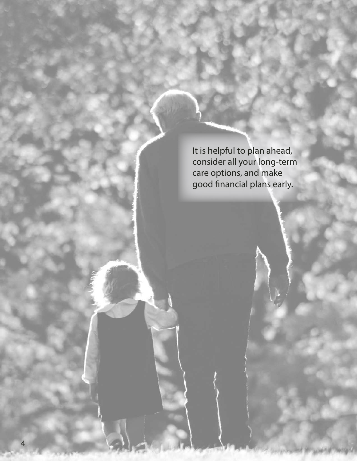It is helpful to plan ahead, consider all your long-term care options, and make good financial plans early.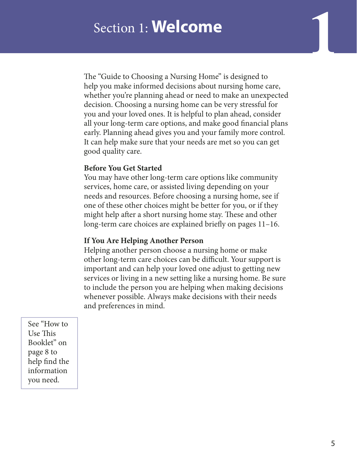# **1** Section 1: **Welcome**

The "Guide to Choosing a Nursing Home" is designed to help you make informed decisions about nursing home care, whether you're planning ahead or need to make an unexpected decision. Choosing a nursing home can be very stressful for you and your loved ones. It is helpful to plan ahead, consider all your long-term care options, and make good financial plans early. Planning ahead gives you and your family more control. It can help make sure that your needs are met so you can get good quality care.

#### **Before You Get Started**

You may have other long-term care options like community services, home care, or assisted living depending on your needs and resources. Before choosing a nursing home, see if one of these other choices might be better for you, or if they might help after a short nursing home stay. These and other long-term care choices are explained briefly on [pages 11–16](#page-10-0).

#### **If You Are Helping Another Person**

Helping another person choose a nursing home or make other long-term care choices can be difficult. Your support is important and can help your loved one adjust to getting new services or living in a new setting like a nursing home. Be sure to include the person you are helping when making decisions whenever possible. Always make decisions with their needs and preferences in mind.

See "How to Use This Booklet" on page 8 to help find the information you need.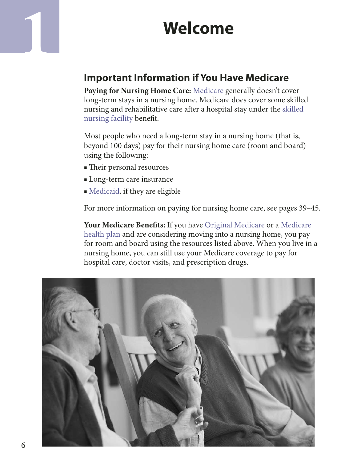#### **Important Information if You Have Medicare**

**Paying for Nursing Home Care:** Medicare generally doesn't cover long-term stays in a nursing home. Medicare does cover some skilled nursing and rehabilitative care after a hospital stay under the skilled nursing facility benefit.

Most people who need a long-term stay in a nursing home (that is, beyond 100 days) pay for their nursing home care (room and board) using the following:

- Their personal resources
- Long-term care insurance
- Medicaid, if they are eligible

For more information on paying for nursing home care, see pages 39–45.

**Your Medicare Benefits:** If you have Original Medicare or a Medicare health plan and are considering moving into a nursing home, you pay for room and board using the resources listed above. When you live in a nursing home, you can still use your Medicare coverage to pay for hospital care, doctor visits, and prescription drugs.

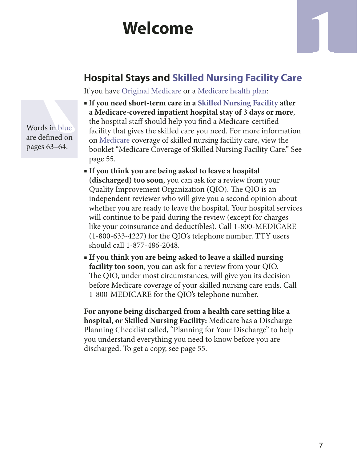#### **Hospital Stays and Skilled Nursing Facility Care**

If you have Original Medicare or a Medicare health plan:

- I**f you need short-term care in a Skilled Nursing Facility after a Medicare-covered inpatient hospital stay of 3 days or more**, the hospital staff should help you find a Medicare-certified facility that gives the skilled care you need. For more information on Medicare coverage of skilled nursing facility care, view the booklet "Medicare Coverage of Skilled Nursing Facility Care." See page 55.
- **If you think you are being asked to leave a hospital (discharged) too soon**, you can ask for a review from your Quality Improvement Organization (QIO). The QIO is an independent reviewer who will give you a second opinion about whether you are ready to leave the hospital. Your hospital services will continue to be paid during the review (except for charges like your coinsurance and deductibles). Call 1-800-MEDICARE (1-800-633-4227) for the QIO's telephone number. TTY users should call 1-877-486-2048.
- **If you think you are being asked to leave a skilled nursing facility too soon**, you can ask for a review from your QIO. The QIO, under most circumstances, will give you its decision before Medicare coverage of your skilled nursing care ends. Call 1-800-MEDICARE for the QIO's telephone number.

**For anyone being discharged from a health care setting like a hospital, or Skilled Nursing Facility:** Medicare has a Discharge Planning Checklist called, "Planning for Your Discharge" to help you understand everything you need to know before you are discharged. To get a copy, see page 55.

Words in blue are defined on pages 63–64.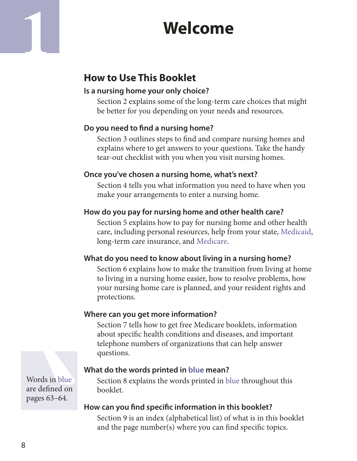#### **How to Use This Booklet**

#### **Is a nursing home your only choice?**

Section 2 explains some of the long-term care choices that might be better for you depending on your needs and resources.

#### **Do you need to find a nursing home?**

Section 3 outlines steps to find and compare nursing homes and explains where to get answers to your questions. Take the handy tear-out checklist with you when you visit nursing homes.

#### **Once you've chosen a nursing home, what's next?**

Section 4 tells you what information you need to have when you make your arrangements to enter a nursing home.

#### **How do you pay for nursing home and other health care?**

Section 5 explains how to pay for nursing home and other health care, including personal resources, help from your state, Medicaid, long-term care insurance, and Medicare.

#### **What do you need to know about living in a nursing home?**

Section 6 explains how to make the transition from living at home to living in a nursing home easier, how to resolve problems, how your nursing home care is planned, and your resident rights and protections.

#### **Where can you get more information?**

Section 7 tells how to get free Medicare booklets, information about specific health conditions and diseases, and important telephone numbers of organizations that can help answer questions.

#### **What do the words printed in blue mean?**

Section 8 explains the words printed in blue throughout this booklet.

#### **How can you find specific information in this booklet?**

Section 9 is an index (alphabetical list) of what is in this booklet and the page number(s) where you can find specific topics.

Words in blue are defined on pages 63–64.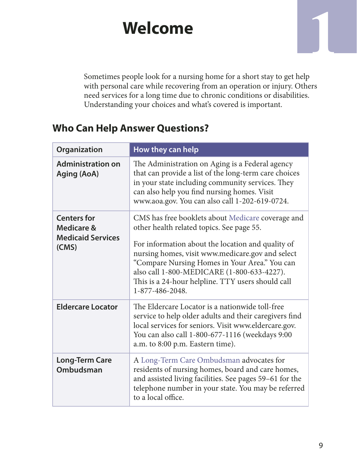Sometimes people look for a nursing home for a short stay to get help with personal care while recovering from an operation or injury. Others need services for a long time due to chronic conditions or disabilities. Understanding your choices and what's covered is important.

#### **Who Can Help Answer Questions?**

| Organization                                                          | How they can help                                                                                                                                                                                                                                                                                                                                                              |
|-----------------------------------------------------------------------|--------------------------------------------------------------------------------------------------------------------------------------------------------------------------------------------------------------------------------------------------------------------------------------------------------------------------------------------------------------------------------|
| <b>Administration on</b><br><b>Aging (AoA)</b>                        | The Administration on Aging is a Federal agency<br>that can provide a list of the long-term care choices<br>in your state including community services. They<br>can also help you find nursing homes. Visit<br>www.aoa.gov. You can also call 1-202-619-0724.                                                                                                                  |
| <b>Centers for</b><br>Medicare &<br><b>Medicaid Services</b><br>(CMS) | CMS has free booklets about Medicare coverage and<br>other health related topics. See page 55.<br>For information about the location and quality of<br>nursing homes, visit www.medicare.gov and select<br>"Compare Nursing Homes in Your Area." You can<br>also call 1-800-MEDICARE (1-800-633-4227).<br>This is a 24-hour helpline. TTY users should call<br>1-877-486-2048. |
| <b>Eldercare Locator</b>                                              | The Eldercare Locator is a nationwide toll-free<br>service to help older adults and their caregivers find<br>local services for seniors. Visit www.eldercare.gov.<br>You can also call 1-800-677-1116 (weekdays 9:00<br>a.m. to 8:00 p.m. Eastern time).                                                                                                                       |
| <b>Long-Term Care</b><br>Ombudsman                                    | A Long-Term Care Ombudsman advocates for<br>residents of nursing homes, board and care homes,<br>and assisted living facilities. See pages 59-61 for the<br>telephone number in your state. You may be referred<br>to a local office.                                                                                                                                          |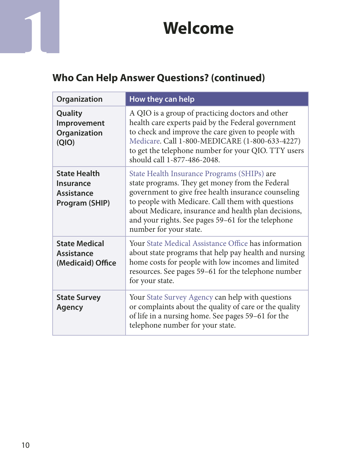#### **Who Can Help Answer Questions? (continued)**

| Organization                                                            | How they can help                                                                                                                                                                                                                                                                                                                                  |
|-------------------------------------------------------------------------|----------------------------------------------------------------------------------------------------------------------------------------------------------------------------------------------------------------------------------------------------------------------------------------------------------------------------------------------------|
| Quality<br>Improvement<br>Organization<br>(QIO)                         | A QIO is a group of practicing doctors and other<br>health care experts paid by the Federal government<br>to check and improve the care given to people with<br>Medicare. Call 1-800-MEDICARE (1-800-633-4227)<br>to get the telephone number for your QIO. TTY users<br>should call 1-877-486-2048.                                               |
| <b>State Health</b><br>Insurance<br><b>Assistance</b><br>Program (SHIP) | State Health Insurance Programs (SHIPs) are<br>state programs. They get money from the Federal<br>government to give free health insurance counseling<br>to people with Medicare. Call them with questions<br>about Medicare, insurance and health plan decisions,<br>and your rights. See pages 59-61 for the telephone<br>number for your state. |
| <b>State Medical</b><br><b>Assistance</b><br>(Medicaid) Office          | Your State Medical Assistance Office has information<br>about state programs that help pay health and nursing<br>home costs for people with low incomes and limited<br>resources. See pages 59–61 for the telephone number<br>for your state.                                                                                                      |
| <b>State Survey</b><br><b>Agency</b>                                    | Your State Survey Agency can help with questions<br>or complaints about the quality of care or the quality<br>of life in a nursing home. See pages 59-61 for the<br>telephone number for your state.                                                                                                                                               |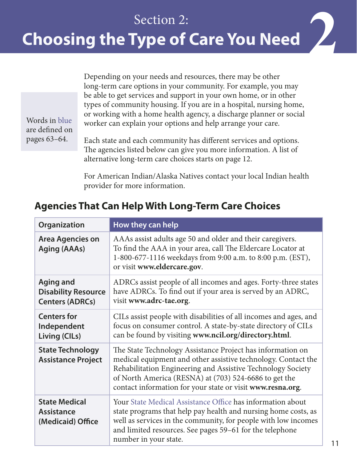# <span id="page-10-0"></span>**2** Section 2: **Choosing the Type of Care You Need**

Depending on your needs and resources, there may be other long-term care options in your community. For example, you may be able to get services and support in your own home, or in other types of community housing. If you are in a hospital, nursing home, or working with a home health agency, a discharge planner or social worker can explain your options and help arrange your care.

Words in blue are defined on pages 63–64.

Each state and each community has different services and options. The agencies listed below can give you more information. A list of alternative long-term care choices starts on page 12.

For American Indian/Alaska Natives contact your local Indian health provider for more information.

| Organization                                                             | How they can help                                                                                                                                                                                                                                                                                                 |
|--------------------------------------------------------------------------|-------------------------------------------------------------------------------------------------------------------------------------------------------------------------------------------------------------------------------------------------------------------------------------------------------------------|
| <b>Area Agencies on</b><br><b>Aging (AAAs)</b>                           | AAAs assist adults age 50 and older and their caregivers.<br>To find the AAA in your area, call The Eldercare Locator at<br>1-800-677-1116 weekdays from 9:00 a.m. to 8:00 p.m. (EST),<br>or visit www.eldercare.gov.                                                                                             |
| <b>Aging and</b><br><b>Disability Resource</b><br><b>Centers (ADRCs)</b> | ADRCs assist people of all incomes and ages. Forty-three states<br>have ADRCs. To find out if your area is served by an ADRC,<br>visit www.adrc-tae.org.                                                                                                                                                          |
| <b>Centers for</b><br>Independent<br>Living (CILs)                       | CILs assist people with disabilities of all incomes and ages, and<br>focus on consumer control. A state-by-state directory of CILs<br>can be found by visiting www.ncil.org/directory.html.                                                                                                                       |
| <b>State Technology</b><br><b>Assistance Project</b>                     | The State Technology Assistance Project has information on<br>medical equipment and other assistive technology. Contact the<br>Rehabilitation Engineering and Assistive Technology Society<br>of North America (RESNA) at (703) 524-6686 to get the<br>contact information for your state or visit www.resna.org. |
| <b>State Medical</b><br><b>Assistance</b><br>(Medicaid) Office           | Your State Medical Assistance Office has information about<br>state programs that help pay health and nursing home costs, as<br>well as services in the community, for people with low incomes<br>and limited resources. See pages 59–61 for the telephone<br>number in your state.                               |

#### **Agencies That Can Help With Long-Term Care Choices**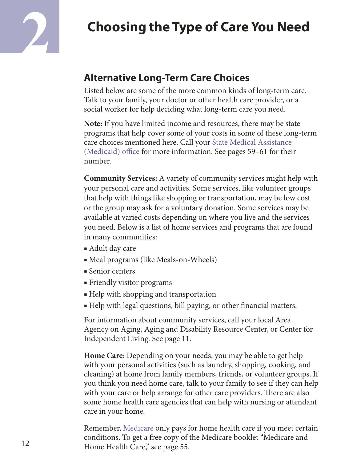

#### **Alternative Long-Term Care Choices**

Listed below are some of the more common kinds of long-term care. Talk to your family, your doctor or other health care provider, or a social worker for help deciding what long-term care you need.

**Note:** If you have limited income and resources, there may be state programs that help cover some of your costs in some of these long-term care choices mentioned here. Call your State Medical Assistance (Medicaid) office for more information. See pages 59–61 for their number.

**Community Services:** A variety of community services might help with your personal care and activities. Some services, like volunteer groups that help with things like shopping or transportation, may be low cost or the group may ask for a voluntary donation. Some services may be available at varied costs depending on where you live and the services you need. Below is a list of home services and programs that are found in many communities:

- Adult day care
- Meal programs (like Meals-on-Wheels)
- Senior centers
- Friendly visitor programs
- Help with shopping and transportation
- Help with legal questions, bill paying, or other financial matters.

For information about community services, call your local Area Agency on Aging, Aging and Disability Resource Center, or Center for Independent Living. See page 11.

**Home Care:** Depending on your needs, you may be able to get help with your personal activities (such as laundry, shopping, cooking, and cleaning) at home from family members, friends, or volunteer groups. If you think you need home care, talk to your family to see if they can help with your care or help arrange for other care providers. There are also some home health care agencies that can help with nursing or attendant care in your home.

Remember, Medicare only pays for home health care if you meet certain conditions. To get a free copy of the Medicare booklet "Medicare and Home Health Care," see page 55.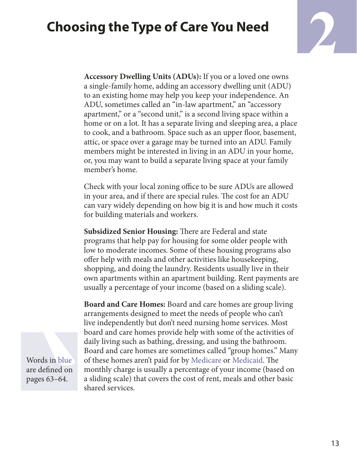

**Accessory Dwelling Units (ADUs):** If you or a loved one owns a single-family home, adding an accessory dwelling unit (ADU) to an existing home may help you keep your independence. An ADU, sometimes called an "in-law apartment," an "accessory apartment," or a "second unit," is a second living space within a home or on a lot. It has a separate living and sleeping area, a place to cook, and a bathroom. Space such as an upper floor, basement, attic, or space over a garage may be turned into an ADU. Family members might be interested in living in an ADU in your home, or, you may want to build a separate living space at your family member's home.

Check with your local zoning office to be sure ADUs are allowed in your area, and if there are special rules. The cost for an ADU can vary widely depending on how big it is and how much it costs for building materials and workers.

**Subsidized Senior Housing:** There are Federal and state programs that help pay for housing for some older people with low to moderate incomes. Some of these housing programs also offer help with meals and other activities like housekeeping, shopping, and doing the laundry. Residents usually live in their own apartments within an apartment building. Rent payments are usually a percentage of your income (based on a sliding scale).

**Board and Care Homes:** Board and care homes are group living arrangements designed to meet the needs of people who can't live independently but don't need nursing home services. Most board and care homes provide help with some of the activities of daily living such as bathing, dressing, and using the bathroom. Board and care homes are sometimes called "group homes." Many of these homes aren't paid for by Medicare or Medicaid. The monthly charge is usually a percentage of your income (based on a sliding scale) that covers the cost of rent, meals and other basic shared services.

Words in blue are defined on pages 63–64.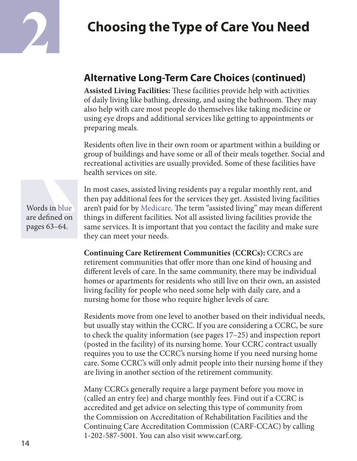

#### **Alternative Long-Term Care Choices (continued)**

**Assisted Living Facilities:** These facilities provide help with activities of daily living like bathing, dressing, and using the bathroom. They may also help with care most people do themselves like taking medicine or using eye drops and additional services like getting to appointments or preparing meals.

Residents often live in their own room or apartment within a building or group of buildings and have some or all of their meals together. Social and recreational activities are usually provided. Some of these facilities have health services on site.

Words in blue are defined on pages 63–64.

In most cases, assisted living residents pay a regular monthly rent, and then pay additional fees for the services they get. Assisted living facilities aren't paid for by Medicare. The term "assisted living" may mean different things in different facilities. Not all assisted living facilities provide the same services. It is important that you contact the facility and make sure they can meet your needs.

**Continuing Care Retirement Communities (CCRCs):** CCRCs are retirement communities that offer more than one kind of housing and different levels of care. In the same community, there may be individual homes or apartments for residents who still live on their own, an assisted living facility for people who need some help with daily care, and a nursing home for those who require higher levels of care.

Residents move from one level to another based on their individual needs, but usually stay within the CCRC. If you are considering a CCRC, be sure to check the quality information (see pages 17–25) and inspection report (posted in the facility) of its nursing home. Your CCRC contract usually requires you to use the CCRC's nursing home if you need nursing home care. Some CCRC's will only admit people into their nursing home if they are living in another section of the retirement community.

Many CCRCs generally require a large payment before you move in (called an entry fee) and charge monthly fees. Find out if a CCRC is accredited and get advice on selecting this type of community from the Commission on Accreditation of Rehabilitation Facilities and the Continuing Care Accreditation Commission (CARF-CCAC) by calling 1-202-587-5001. You can also visit [www.carf.org.](www.carf.org)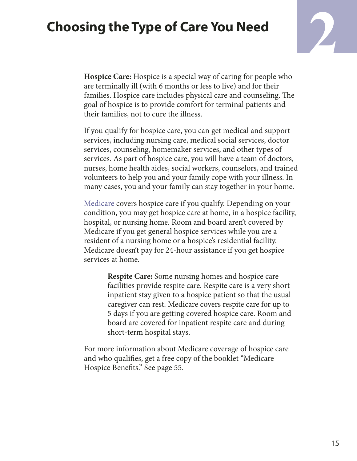

**Hospice Care:** Hospice is a special way of caring for people who are terminally ill (with 6 months or less to live) and for their families. Hospice care includes physical care and counseling. The goal of hospice is to provide comfort for terminal patients and their families, not to cure the illness.

If you qualify for hospice care, you can get medical and support services, including nursing care, medical social services, doctor services, counseling, homemaker services, and other types of services. As part of hospice care, you will have a team of doctors, nurses, home health aides, social workers, counselors, and trained volunteers to help you and your family cope with your illness. In many cases, you and your family can stay together in your home.

Medicare covers hospice care if you qualify. Depending on your condition, you may get hospice care at home, in a hospice facility, hospital, or nursing home. Room and board aren't covered by Medicare if you get general hospice services while you are a resident of a nursing home or a hospice's residential facility. Medicare doesn't pay for 24-hour assistance if you get hospice services at home.

> **Respite Care:** Some nursing homes and hospice care facilities provide respite care. Respite care is a very short inpatient stay given to a hospice patient so that the usual caregiver can rest. Medicare covers respite care for up to 5 days if you are getting covered hospice care. Room and board are covered for inpatient respite care and during short-term hospital stays.

For more information about Medicare coverage of hospice care and who qualifies, get a free copy of the booklet "Medicare Hospice Benefits." See page 55.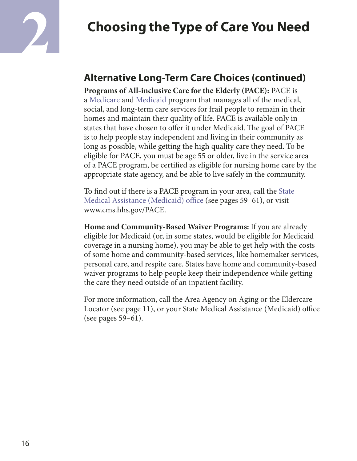

#### **Alternative Long-Term Care Choices (continued)**

**Programs of All-inclusive Care for the Elderly (PACE):** PACE is a Medicare and Medicaid program that manages all of the medical, social, and long-term care services for frail people to remain in their homes and maintain their quality of life. PACE is available only in states that have chosen to offer it under Medicaid. The goal of PACE is to help people stay independent and living in their community as long as possible, while getting the high quality care they need. To be eligible for PACE, you must be age 55 or older, live in the service area of a PACE program, be certified as eligible for nursing home care by the appropriate state agency, and be able to live safely in the community.

To find out if there is a PACE program in your area, call the State Medical Assistance (Medicaid) office (see pages 59–61), or visit [www.cms.hhs.gov/PACE.](www.cms.hhs.gov/PACE)

**Home and Community-Based Waiver Programs:** If you are already eligible for Medicaid (or, in some states, would be eligible for Medicaid coverage in a nursing home), you may be able to get help with the costs of some home and community-based services, like homemaker services, personal care, and respite care. States have home and community-based waiver programs to help people keep their independence while getting the care they need outside of an inpatient facility.

For more information, call the Area Agency on Aging or the Eldercare Locator (see page 11), or your State Medical Assistance (Medicaid) office (see pages 59–61).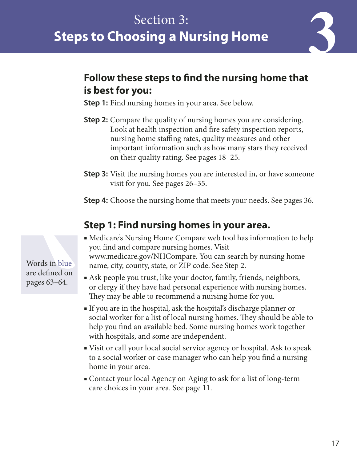# Section 3: **Steps to Choosing a Nursing Home**



#### **Follow these steps to find the nursing home that is best for you:**

**Step 1:** Find nursing homes in your area. See below.

- **Step 2:** Compare the quality of nursing homes you are considering. Look at health inspection and fire safety inspection reports, nursing home staffing rates, quality measures and other important information such as how many stars they received on their quality rating. See pages 18–25.
- **Step 3:** Visit the nursing homes you are interested in, or have someone visit for you. See pages 26–35.
- **Step 4:** Choose the nursing home that meets your needs. See pages 36.

#### **Step 1: Find nursing homes in your area.**

- Medicare's Nursing Home Compare web tool has information to help you find and compare nursing homes. Visit [www.medicare.gov/NHCompare.](www.medicare.gov/NHCompare) You can search by nursing home name, city, county, state, or ZIP code. See Step 2.
- Ask people you trust, like your doctor, family, friends, neighbors, or clergy if they have had personal experience with nursing homes. They may be able to recommend a nursing home for you.
- If you are in the hospital, ask the hospital's discharge planner or social worker for a list of local nursing homes. They should be able to help you find an available bed. Some nursing homes work together with hospitals, and some are independent.
- Visit or call your local social service agency or hospital. Ask to speak to a social worker or case manager who can help you find a nursing home in your area.
- Contact your local Agency on Aging to ask for a list of long-term care choices in your area. See page 11.

Words in blue are defined on pages 63–64.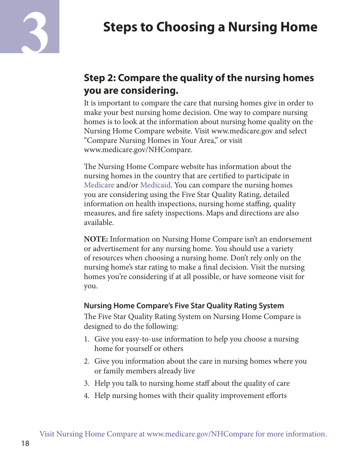

#### **Step 2: Compare the quality of the nursing homes you are considering.**

It is important to compare the care that nursing homes give in order to make your best nursing home decision. One way to compare nursing homes is to look at the information about nursing home quality on the Nursing Home Compare website. Visit<www.medicare.gov> and select "Compare Nursing Homes in Your Area," or visit <www.medicare.gov/NHCompare>.

The Nursing Home Compare website has information about the nursing homes in the country that are certified to participate in Medicare and/or Medicaid. You can compare the nursing homes you are considering using the Five Star Quality Rating, detailed information on health inspections, nursing home staffing, quality measures, and fire safety inspections. Maps and directions are also available.

**NOTE:** Information on Nursing Home Compare isn't an endorsement or advertisement for any nursing home. You should use a variety of resources when choosing a nursing home. Don't rely only on the nursing home's star rating to make a final decision. Visit the nursing homes you're considering if at all possible, or have someone visit for you.

#### **Nursing Home Compare's Five Star Quality Rating System**

The Five Star Quality Rating System on Nursing Home Compare is designed to do the following:

- 1. Give you easy-to-use information to help you choose a nursing home for yourself or others
- 2. Give you information about the care in nursing homes where you or family members already live
- 3. Help you talk to nursing home staff about the quality of care
- 4. Help nursing homes with their quality improvement efforts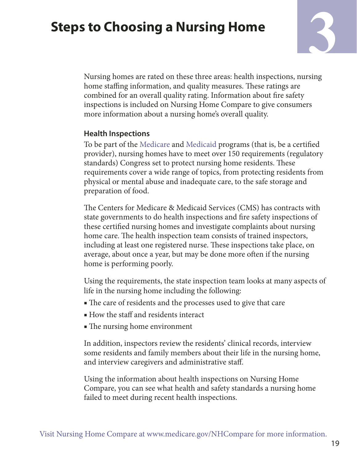Nursing homes are rated on these three areas: health inspections, nursing home staffing information, and quality measures. These ratings are combined for an overall quality rating. Information about fire safety inspections is included on Nursing Home Compare to give consumers more information about a nursing home's overall quality.

#### **Health Inspections**

To be part of the Medicare and Medicaid programs (that is, be a certified provider), nursing homes have to meet over 150 requirements (regulatory standards) Congress set to protect nursing home residents. These requirements cover a wide range of topics, from protecting residents from physical or mental abuse and inadequate care, to the safe storage and preparation of food.

The Centers for Medicare & Medicaid Services (CMS) has contracts with state governments to do health inspections and fire safety inspections of these certified nursing homes and investigate complaints about nursing home care. The health inspection team consists of trained inspectors, including at least one registered nurse. These inspections take place, on average, about once a year, but may be done more often if the nursing home is performing poorly.

Using the requirements, the state inspection team looks at many aspects of life in the nursing home including the following:

- The care of residents and the processes used to give that care
- How the staff and residents interact
- The nursing home environment

In addition, inspectors review the residents' clinical records, interview some residents and family members about their life in the nursing home, and interview caregivers and administrative staff.

Using the information about health inspections on Nursing Home Compare, you can see what health and safety standards a nursing home failed to meet during recent health inspections.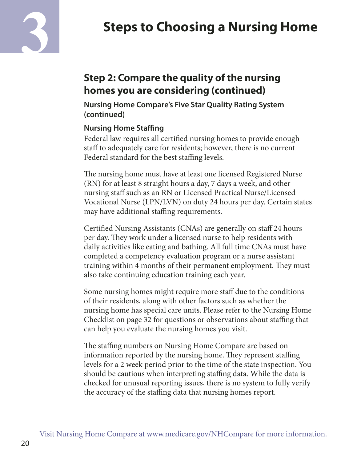

#### **Step 2: Compare the quality of the nursing homes you are considering (continued)**

**Nursing Home Compare's Five Star Quality Rating System (continued)** 

#### **Nursing Home Staffing**

Federal law requires all certified nursing homes to provide enough staff to adequately care for residents; however, there is no current Federal standard for the best staffing levels.

The nursing home must have at least one licensed Registered Nurse (RN) for at least 8 straight hours a day, 7 days a week, and other nursing staff such as an RN or Licensed Practical Nurse/Licensed Vocational Nurse (LPN/LVN) on duty 24 hours per day. Certain states may have additional staffing requirements.

Certified Nursing Assistants (CNAs) are generally on staff 24 hours per day. They work under a licensed nurse to help residents with daily activities like eating and bathing. All full time CNAs must have completed a competency evaluation program or a nurse assistant training within 4 months of their permanent employment. They must also take continuing education training each year.

Some nursing homes might require more staff due to the conditions of their residents, along with other factors such as whether the nursing home has special care units. Please refer to the Nursing Home Checklist on page 32 for questions or observations about staffing that can help you evaluate the nursing homes you visit.

The staffing numbers on Nursing Home Compare are based on information reported by the nursing home. They represent staffing levels for a 2 week period prior to the time of the state inspection. You should be cautious when interpreting staffing data. While the data is checked for unusual reporting issues, there is no system to fully verify the accuracy of the staffing data that nursing homes report.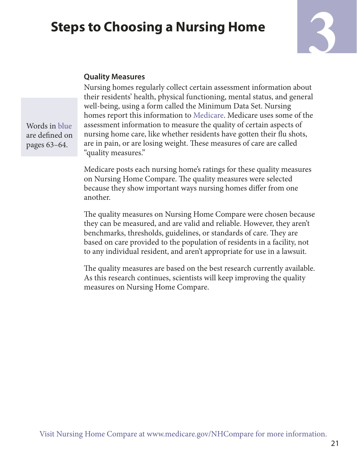

#### **Quality Measures**

Words in blue are defined on pages 63–64.

Nursing homes regularly collect certain assessment information about their residents' health, physical functioning, mental status, and general well-being, using a form called the Minimum Data Set. Nursing homes report this information to Medicare. Medicare uses some of the assessment information to measure the quality of certain aspects of nursing home care, like whether residents have gotten their flu shots, are in pain, or are losing weight. These measures of care are called "quality measures."

Medicare posts each nursing home's ratings for these quality measures on Nursing Home Compare. The quality measures were selected because they show important ways nursing homes differ from one another.

The quality measures on Nursing Home Compare were chosen because they can be measured, and are valid and reliable. However, they aren't benchmarks, thresholds, guidelines, or standards of care. They are based on care provided to the population of residents in a facility, not to any individual resident, and aren't appropriate for use in a lawsuit.

The quality measures are based on the best research currently available. As this research continues, scientists will keep improving the quality measures on Nursing Home Compare.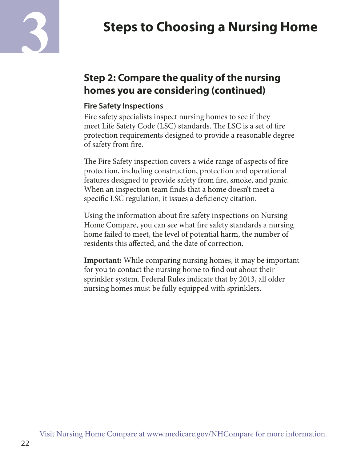

#### **Step 2: Compare the quality of the nursing homes you are considering (continued)**

#### **Fire Safety Inspections**

Fire safety specialists inspect nursing homes to see if they meet Life Safety Code (LSC) standards. The LSC is a set of fire protection requirements designed to provide a reasonable degree of safety from fire.

The Fire Safety inspection covers a wide range of aspects of fire protection, including construction, protection and operational features designed to provide safety from fire, smoke, and panic. When an inspection team finds that a home doesn't meet a specific LSC regulation, it issues a deficiency citation.

Using the information about fire safety inspections on Nursing Home Compare, you can see what fire safety standards a nursing home failed to meet, the level of potential harm, the number of residents this affected, and the date of correction.

**Important:** While comparing nursing homes, it may be important for you to contact the nursing home to find out about their sprinkler system. Federal Rules indicate that by 2013, all older nursing homes must be fully equipped with sprinklers.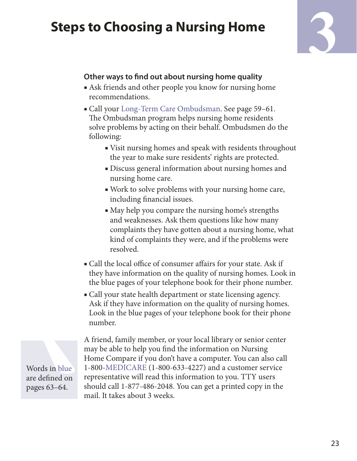

#### **Other ways to find out about nursing home quality**

- Ask friends and other people you know for nursing home recommendations.
- Call your Long-Term Care Ombudsman. See page 59–61. The Ombudsman program helps nursing home residents solve problems by acting on their behalf. Ombudsmen do the following:
	- Visit nursing homes and speak with residents throughout the year to make sure residents' rights are protected.
	- Discuss general information about nursing homes and nursing home care.
	- Work to solve problems with your nursing home care, including financial issues.
	- May help you compare the nursing home's strengths and weaknesses. Ask them questions like how many complaints they have gotten about a nursing home, what kind of complaints they were, and if the problems were resolved.
- Call the local office of consumer affairs for your state. Ask if they have information on the quality of nursing homes. Look in the blue pages of your telephone book for their phone number.
- Call your state health department or state licensing agency. Ask if they have information on the quality of nursing homes. Look in the blue pages of your telephone book for their phone number.

Words in blue are defined on pages 63–64.

A friend, family member, or your local library or senior center may be able to help you find the information on Nursing Home Compare if you don't have a computer. You can also call 1-800-MEDICARE (1-800-633-4227) and a customer service representative will read this information to you. TTY users should call 1-877-486-2048. You can get a printed copy in the mail. It takes about 3 weeks.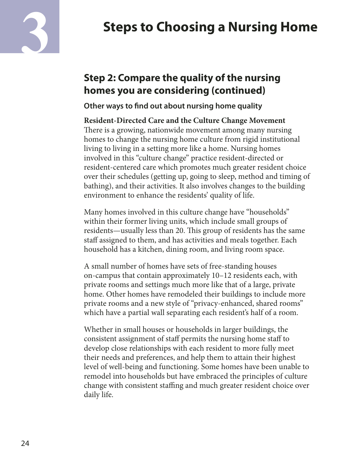

#### **Step 2: Compare the quality of the nursing homes you are considering (continued)**

**Other ways to find out about nursing home quality** 

**Resident-Directed Care and the Culture Change Movement**  There is a growing, nationwide movement among many nursing homes to change the nursing home culture from rigid institutional living to living in a setting more like a home. Nursing homes involved in this "culture change" practice resident-directed or resident-centered care which promotes much greater resident choice over their schedules (getting up, going to sleep, method and timing of bathing), and their activities. It also involves changes to the building environment to enhance the residents' quality of life.

Many homes involved in this culture change have "households" within their former living units, which include small groups of residents—usually less than 20. This group of residents has the same staff assigned to them, and has activities and meals together. Each household has a kitchen, dining room, and living room space.

A small number of homes have sets of free-standing houses on-campus that contain approximately 10–12 residents each, with private rooms and settings much more like that of a large, private home. Other homes have remodeled their buildings to include more private rooms and a new style of "privacy-enhanced, shared rooms" which have a partial wall separating each resident's half of a room.

Whether in small houses or households in larger buildings, the consistent assignment of staff permits the nursing home staff to develop close relationships with each resident to more fully meet their needs and preferences, and help them to attain their highest level of well-being and functioning. Some homes have been unable to remodel into households but have embraced the principles of culture change with consistent staffing and much greater resident choice over daily life.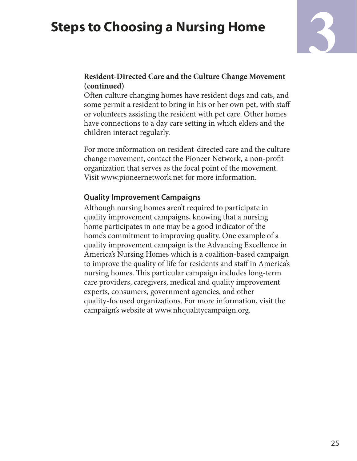

#### **Resident-Directed Care and the Culture Change Movement (continued)**

Often culture changing homes have resident dogs and cats, and some permit a resident to bring in his or her own pet, with staff or volunteers assisting the resident with pet care. Other homes have connections to a day care setting in which elders and the children interact regularly.

For more information on resident-directed care and the culture change movement, contact the Pioneer Network, a non-profit organization that serves as the focal point of the movement. Visit<www.pioneernetwork.net> for more information.

#### **Quality Improvement Campaigns**

Although nursing homes aren't required to participate in quality improvement campaigns, knowing that a nursing home participates in one may be a good indicator of the home's commitment to improving quality. One example of a quality improvement campaign is the Advancing Excellence in America's Nursing Homes which is a coalition-based campaign to improve the quality of life for residents and staff in America's nursing homes. This particular campaign includes long-term care providers, caregivers, medical and quality improvement experts, consumers, government agencies, and other quality-focused organizations. For more information, visit the campaign's website at [www.nhqualitycampaign.org.](www.nhqualitycampaign.org)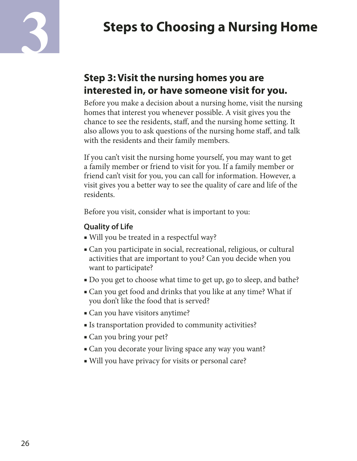



#### **Step 3: Visit the nursing homes you are interested in, or have someone visit for you.**

Before you make a decision about a nursing home, visit the nursing homes that interest you whenever possible. A visit gives you the chance to see the residents, staff, and the nursing home setting. It also allows you to ask questions of the nursing home staff, and talk with the residents and their family members.

If you can't visit the nursing home yourself, you may want to get a family member or friend to visit for you. If a family member or friend can't visit for you, you can call for information. However, a visit gives you a better way to see the quality of care and life of the residents.

Before you visit, consider what is important to you:

#### **Quality of Life**

- Will you be treated in a respectful way?
- Can you participate in social, recreational, religious, or cultural activities that are important to you? Can you decide when you want to participate?
- Do you get to choose what time to get up, go to sleep, and bathe?
- Can you get food and drinks that you like at any time? What if you don't like the food that is served?
- Can you have visitors anytime?
- Is transportation provided to community activities?
- Can you bring your pet?
- Can you decorate your living space any way you want?
- Will you have privacy for visits or personal care?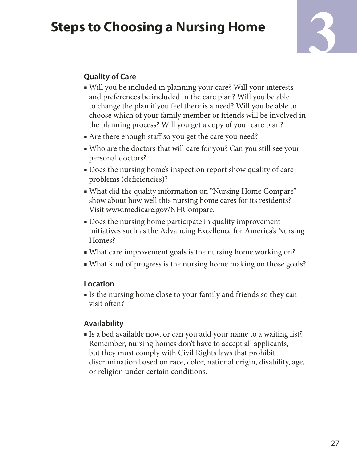![](_page_26_Picture_1.jpeg)

#### **Quality of Care**

- Will you be included in planning your care? Will your interests and preferences be included in the care plan? Will you be able to change the plan if you feel there is a need? Will you be able to choose which of your family member or friends will be involved in the planning process? Will you get a copy of your care plan?
- Are there enough staff so you get the care you need?
- Who are the doctors that will care for you? Can you still see your personal doctors?
- Does the nursing home's inspection report show quality of care problems (deficiencies)?
- What did the quality information on "Nursing Home Compare" show about how well this nursing home cares for its residents? Visit <www.medicare.gov/NHCompare>.
- Does the nursing home participate in quality improvement initiatives such as the Advancing Excellence for America's Nursing Homes?
- What care improvement goals is the nursing home working on?
- What kind of progress is the nursing home making on those goals?

#### **Location**

■ Is the nursing home close to your family and friends so they can visit often?

#### **Availability**

■ Is a bed available now, or can you add your name to a waiting list? Remember, nursing homes don't have to accept all applicants, but they must comply with Civil Rights laws that prohibit discrimination based on race, color, national origin, disability, age, or religion under certain conditions.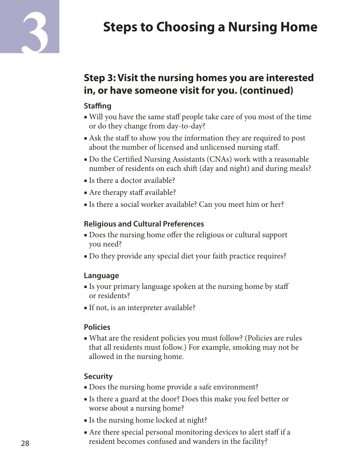![](_page_27_Picture_0.jpeg)

#### **Step 3: Visit the nursing homes you are interested in, or have someone visit for you. (continued)**

#### **Staffing**

- Will you have the same staff people take care of you most of the time or do they change from day-to-day?
- Ask the staff to show you the information they are required to post about the number of licensed and unlicensed nursing staff.
- Do the Certified Nursing Assistants (CNAs) work with a reasonable number of residents on each shift (day and night) and during meals?
- Is there a doctor available?
- Are therapy staff available?
- Is there a social worker available? Can you meet him or her?

#### **Religious and Cultural Preferences**

- Does the nursing home offer the religious or cultural support you need?
- Do they provide any special diet your faith practice requires?

#### **Language**

- Is your primary language spoken at the nursing home by staff or residents?
- If not, is an interpreter available?

#### **Policies**

■ What are the resident policies you must follow? (Policies are rules that all residents must follow.) For example, smoking may not be allowed in the nursing home.

#### **Security**

- Does the nursing home provide a safe environment?
- Is there a guard at the door? Does this make you feel better or worse about a nursing home?
- Is the nursing home locked at night?
- Are there special personal monitoring devices to alert staff if a resident becomes confused and wanders in the facility?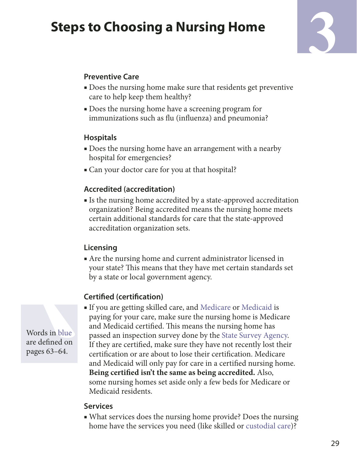![](_page_28_Picture_1.jpeg)

#### **Preventive Care**

- Does the nursing home make sure that residents get preventive care to help keep them healthy?
- Does the nursing home have a screening program for immunizations such as flu (influenza) and pneumonia?

#### **Hospitals**

- Does the nursing home have an arrangement with a nearby hospital for emergencies?
- Can your doctor care for you at that hospital?

#### **Accredited (accreditation)**

■ Is the nursing home accredited by a state-approved accreditation organization? Being accredited means the nursing home meets certain additional standards for care that the state-approved accreditation organization sets.

#### **Licensing**

■ Are the nursing home and current administrator licensed in your state? This means that they have met certain standards set by a state or local government agency.

#### **Certified (certification)**

■ If you are getting skilled care, and Medicare or Medicaid is paying for your care, make sure the nursing home is Medicare and Medicaid certified. This means the nursing home has passed an inspection survey done by the State Survey Agency. If they are certified, make sure they have not recently lost their certification or are about to lose their certification. Medicare and Medicaid will only pay for care in a certified nursing home. **Being certified isn't the same as being accredited.** Also, some nursing homes set aside only a few beds for Medicare or Medicaid residents.

#### **Services**

■ What services does the nursing home provide? Does the nursing home have the services you need (like skilled or custodial care)?

Words in blue are defined on pages 63–64.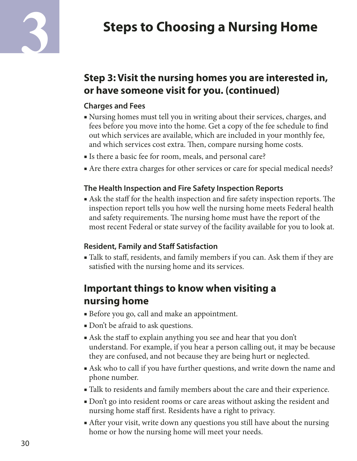![](_page_29_Picture_0.jpeg)

#### **Step 3: Visit the nursing homes you are interested in, or have someone visit for you. (continued)**

#### **Charges and Fees**

- Nursing homes must tell you in writing about their services, charges, and fees before you move into the home. Get a copy of the fee schedule to find out which services are available, which are included in your monthly fee, and which services cost extra. Then, compare nursing home costs.
- Is there a basic fee for room, meals, and personal care?
- Are there extra charges for other services or care for special medical needs?

#### **The Health Inspection and Fire Safety Inspection Reports**

■ Ask the staff for the health inspection and fire safety inspection reports. The inspection report tells you how well the nursing home meets Federal health and safety requirements. The nursing home must have the report of the most recent Federal or state survey of the facility available for you to look at.

#### **Resident, Family and Staff Satisfaction**

■ Talk to staff, residents, and family members if you can. Ask them if they are satisfied with the nursing home and its services.

#### **Important things to know when visiting a nursing home**

- Before you go, call and make an appointment.
- Don't be afraid to ask questions.
- Ask the staff to explain anything you see and hear that you don't understand. For example, if you hear a person calling out, it may be because they are confused, and not because they are being hurt or neglected.
- Ask who to call if you have further questions, and write down the name and phone number.
- Talk to residents and family members about the care and their experience.
- Don't go into resident rooms or care areas without asking the resident and nursing home staff first. Residents have a right to privacy.
- After your visit, write down any questions you still have about the nursing home or how the nursing home will meet your needs.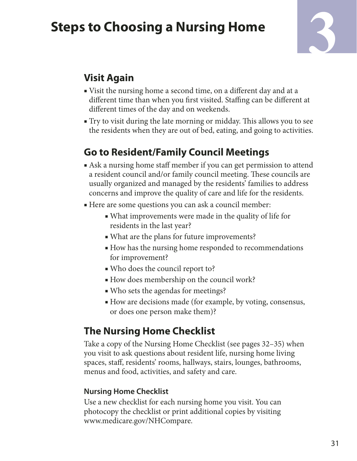![](_page_30_Picture_1.jpeg)

#### **Visit Again**

- Visit the nursing home a second time, on a different day and at a different time than when you first visited. Staffing can be different at different times of the day and on weekends.
- Try to visit during the late morning or midday. This allows you to see the residents when they are out of bed, eating, and going to activities.

#### **Go to Resident/Family Council Meetings**

- Ask a nursing home staff member if you can get permission to attend a resident council and/or family council meeting. These councils are usually organized and managed by the residents' families to address concerns and improve the quality of care and life for the residents.
- Here are some questions you can ask a council member:
	- What improvements were made in the quality of life for residents in the last year?
	- What are the plans for future improvements?
	- How has the nursing home responded to recommendations for improvement?
	- Who does the council report to?
	- How does membership on the council work?
	- Who sets the agendas for meetings?
	- How are decisions made (for example, by voting, consensus, or does one person make them)?

#### **The Nursing Home Checklist**

Take a copy of the Nursing Home Checklist (see pages 32–35) when you visit to ask questions about resident life, nursing home living spaces, staff, residents' rooms, hallways, stairs, lounges, bathrooms, menus and food, activities, and safety and care.

#### **Nursing Home Checklist**

Use a new checklist for each nursing home you visit. You can photocopy the checklist or print additional copies by visiting <www.medicare.gov/NHCompare>.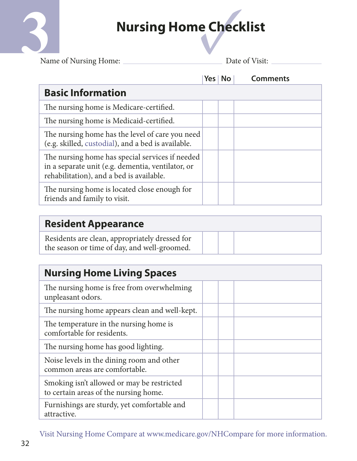# **Nursing Home Checklist**

|                                                                                               | <b>Nursing Home Checklist</b>                   |          |  |                 |
|-----------------------------------------------------------------------------------------------|-------------------------------------------------|----------|--|-----------------|
| Name of Nursing Home:                                                                         |                                                 |          |  | Date of Visit:  |
|                                                                                               |                                                 | Yes   No |  | <b>Comments</b> |
| <b>Basic Information</b>                                                                      |                                                 |          |  |                 |
| The nursing home is Medicare-certified.                                                       |                                                 |          |  |                 |
| The nursing home is Medicaid-certified.                                                       |                                                 |          |  |                 |
| (e.g. skilled, custodial), and a bed is available.                                            | The nursing home has the level of care you need |          |  |                 |
| in a separate unit (e.g. dementia, ventilator, or<br>rehabilitation), and a bed is available. | The nursing home has special services if needed |          |  |                 |
| The nursing home is located close enough for<br>friends and family to visit.                  |                                                 |          |  |                 |

#### **Resident Appearance**

| Residents are clean, appropriately dressed for |  |  |
|------------------------------------------------|--|--|
| the season or time of day, and well-groomed.   |  |  |

| <b>Nursing Home Living Spaces</b>                                                   |  |  |  |
|-------------------------------------------------------------------------------------|--|--|--|
| The nursing home is free from overwhelming<br>unpleasant odors.                     |  |  |  |
| The nursing home appears clean and well-kept.                                       |  |  |  |
| The temperature in the nursing home is<br>comfortable for residents.                |  |  |  |
| The nursing home has good lighting.                                                 |  |  |  |
| Noise levels in the dining room and other<br>common areas are comfortable.          |  |  |  |
| Smoking isn't allowed or may be restricted<br>to certain areas of the nursing home. |  |  |  |
| Furnishings are sturdy, yet comfortable and<br>attractive.                          |  |  |  |

Visit Nursing Home Compare at <www.medicare.gov/NHCompare> for more information.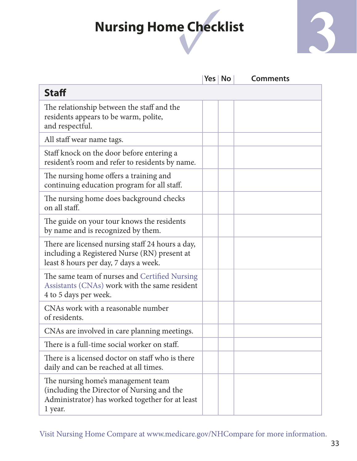# **Nursing Home Checklist**

![](_page_32_Picture_1.jpeg)

|                                                                                                                                                | Yes   No | <b>Comments</b> |
|------------------------------------------------------------------------------------------------------------------------------------------------|----------|-----------------|
| <b>Staff</b>                                                                                                                                   |          |                 |
| The relationship between the staff and the<br>residents appears to be warm, polite,<br>and respectful.                                         |          |                 |
| All staff wear name tags.                                                                                                                      |          |                 |
| Staff knock on the door before entering a<br>resident's room and refer to residents by name.                                                   |          |                 |
| The nursing home offers a training and<br>continuing education program for all staff.                                                          |          |                 |
| The nursing home does background checks<br>on all staff.                                                                                       |          |                 |
| The guide on your tour knows the residents<br>by name and is recognized by them.                                                               |          |                 |
| There are licensed nursing staff 24 hours a day,<br>including a Registered Nurse (RN) present at<br>least 8 hours per day, 7 days a week.      |          |                 |
| The same team of nurses and Certified Nursing<br>Assistants (CNAs) work with the same resident<br>4 to 5 days per week.                        |          |                 |
| CNAs work with a reasonable number<br>of residents.                                                                                            |          |                 |
| CNAs are involved in care planning meetings.                                                                                                   |          |                 |
| There is a full-time social worker on staff.                                                                                                   |          |                 |
| There is a licensed doctor on staff who is there<br>daily and can be reached at all times.                                                     |          |                 |
| The nursing home's management team<br>(including the Director of Nursing and the<br>Administrator) has worked together for at least<br>1 year. |          |                 |

Visit Nursing Home Compare at <www.medicare.gov/NHCompare> for more information.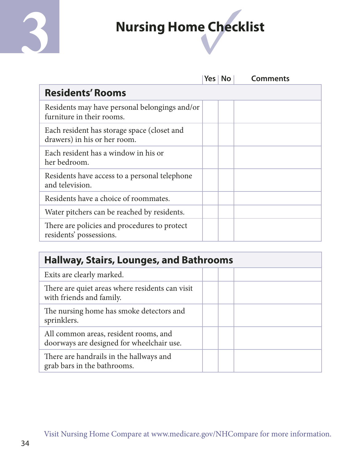![](_page_33_Picture_0.jpeg)

# **3** Nursing Home Checklist

|                                                                             |  | Yes   No | <b>Comments</b> |  |
|-----------------------------------------------------------------------------|--|----------|-----------------|--|
| <b>Residents' Rooms</b>                                                     |  |          |                 |  |
| Residents may have personal belongings and/or<br>furniture in their rooms.  |  |          |                 |  |
| Each resident has storage space (closet and<br>drawers) in his or her room. |  |          |                 |  |
| Each resident has a window in his or<br>her bedroom.                        |  |          |                 |  |
| Residents have access to a personal telephone<br>and television.            |  |          |                 |  |
| Residents have a choice of roommates.                                       |  |          |                 |  |
| Water pitchers can be reached by residents.                                 |  |          |                 |  |
| There are policies and procedures to protect<br>residents' possessions.     |  |          |                 |  |

| <b>Hallway, Stairs, Lounges, and Bathrooms</b>                                     |  |  |
|------------------------------------------------------------------------------------|--|--|
| Exits are clearly marked.                                                          |  |  |
| There are quiet areas where residents can visit<br>with friends and family.        |  |  |
| The nursing home has smoke detectors and<br>sprinklers.                            |  |  |
| All common areas, resident rooms, and<br>doorways are designed for wheelchair use. |  |  |
| There are handrails in the hallways and<br>grab bars in the bathrooms.             |  |  |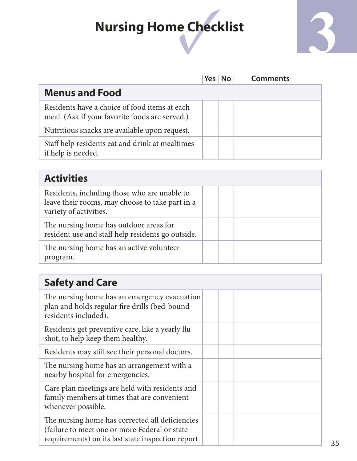# ✓ **3 Nursing Home Checklist**

![](_page_34_Picture_1.jpeg)

|                                                                                                 | Yes No | <b>Comments</b> |
|-------------------------------------------------------------------------------------------------|--------|-----------------|
| <b>Menus and Food</b>                                                                           |        |                 |
| Residents have a choice of food items at each<br>meal. (Ask if your favorite foods are served.) |        |                 |
| Nutritious snacks are available upon request.                                                   |        |                 |
| Staff help residents eat and drink at mealtimes<br>if help is needed.                           |        |                 |

| <b>Activities</b>                                                                                                         |  |
|---------------------------------------------------------------------------------------------------------------------------|--|
| Residents, including those who are unable to<br>leave their rooms, may choose to take part in a<br>variety of activities. |  |
| The nursing home has outdoor areas for<br>resident use and staff help residents go outside.                               |  |
| The nursing home has an active volunteer<br>program.                                                                      |  |

| <b>Safety and Care</b>                                                                                                                                  |  |
|---------------------------------------------------------------------------------------------------------------------------------------------------------|--|
| The nursing home has an emergency evacuation<br>plan and holds regular fire drills (bed-bound<br>residents included).                                   |  |
| Residents get preventive care, like a yearly flu<br>shot, to help keep them healthy.                                                                    |  |
| Residents may still see their personal doctors.                                                                                                         |  |
| The nursing home has an arrangement with a<br>nearby hospital for emergencies.                                                                          |  |
| Care plan meetings are held with residents and<br>family members at times that are convenient<br>whenever possible.                                     |  |
| The nursing home has corrected all deficiencies<br>(failure to meet one or more Federal or state)<br>requirements) on its last state inspection report. |  |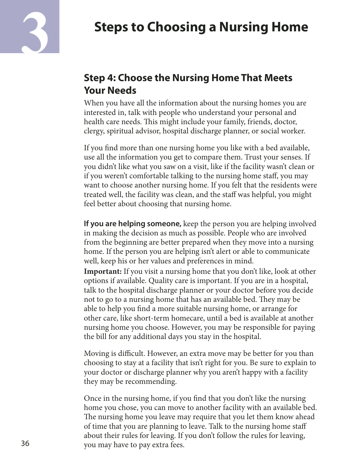![](_page_35_Picture_0.jpeg)

#### **Step 4: Choose the Nursing Home That Meets Your Needs**

When you have all the information about the nursing homes you are interested in, talk with people who understand your personal and health care needs. This might include your family, friends, doctor, clergy, spiritual advisor, hospital discharge planner, or social worker.

If you find more than one nursing home you like with a bed available, use all the information you get to compare them. Trust your senses. If you didn't like what you saw on a visit, like if the facility wasn't clean or if you weren't comfortable talking to the nursing home staff, you may want to choose another nursing home. If you felt that the residents were treated well, the facility was clean, and the staff was helpful, you might feel better about choosing that nursing home.

**If you are helping someone,** keep the person you are helping involved in making the decision as much as possible. People who are involved from the beginning are better prepared when they move into a nursing home. If the person you are helping isn't alert or able to communicate well, keep his or her values and preferences in mind.

**Important:** If you visit a nursing home that you don't like, look at other options if available. Quality care is important. If you are in a hospital, talk to the hospital discharge planner or your doctor before you decide not to go to a nursing home that has an available bed. They may be able to help you find a more suitable nursing home, or arrange for other care, like short-term homecare, until a bed is available at another nursing home you choose. However, you may be responsible for paying the bill for any additional days you stay in the hospital.

Moving is difficult. However, an extra move may be better for you than choosing to stay at a facility that isn't right for you. Be sure to explain to your doctor or discharge planner why you aren't happy with a facility they may be recommending.

Once in the nursing home, if you find that you don't like the nursing home you chose, you can move to another facility with an available bed. The nursing home you leave may require that you let them know ahead of time that you are planning to leave. Talk to the nursing home staff about their rules for leaving. If you don't follow the rules for leaving, you may have to pay extra fees.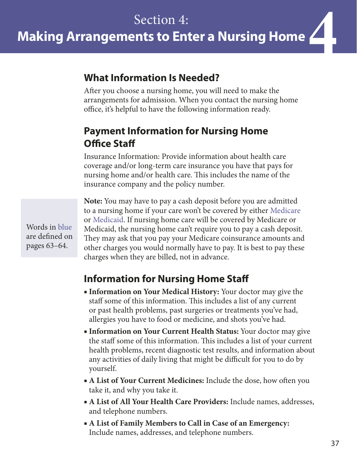#### **What Information Is Needed?**

After you choose a nursing home, you will need to make the arrangements for admission. When you contact the nursing home office, it's helpful to have the following information ready.

#### **Payment Information for Nursing Home Office Staff**

Insurance Information: Provide information about health care coverage and/or long-term care insurance you have that pays for nursing home and/or health care. This includes the name of the insurance company and the policy number.

Words in blue are defined on pages 63–64.

**Note:** You may have to pay a cash deposit before you are admitted to a nursing home if your care won't be covered by either Medicare or Medicaid. If nursing home care will be covered by Medicare or Medicaid, the nursing home can't require you to pay a cash deposit. They may ask that you pay your Medicare coinsurance amounts and other charges you would normally have to pay. It is best to pay these charges when they are billed, not in advance.

#### **Information for Nursing Home Staff**

- **Information on Your Medical History:** Your doctor may give the staff some of this information. This includes a list of any current or past health problems, past surgeries or treatments you've had, allergies you have to food or medicine, and shots you've had.
- **Information on Your Current Health Status:** Your doctor may give the staff some of this information. This includes a list of your current health problems, recent diagnostic test results, and information about any activities of daily living that might be difficult for you to do by yourself.
- **A List of Your Current Medicines:** Include the dose, how often you take it, and why you take it.
- **A List of All Your Health Care Providers:** Include names, addresses, and telephone numbers.
- **A List of Family Members to Call in Case of an Emergency:** Include names, addresses, and telephone numbers.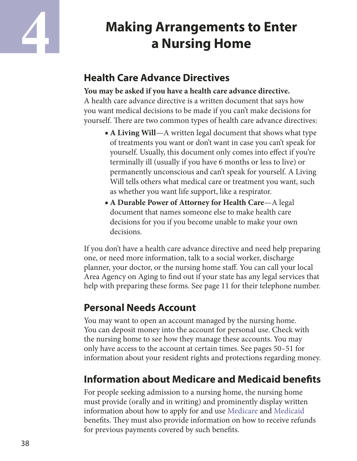# **Making Arrangements to Enter a Nursing Home**

#### **Health Care Advance Directives**

**You may be asked if you have a health care advance directive.** 

A health care advance directive is a written document that says how you want medical decisions to be made if you can't make decisions for yourself. There are two common types of health care advance directives:

- **A Living Will**—A written legal document that shows what type of treatments you want or don't want in case you can't speak for yourself. Usually, this document only comes into effect if you're terminally ill (usually if you have 6 months or less to live) or permanently unconscious and can't speak for yourself. A Living Will tells others what medical care or treatment you want, such as whether you want life support, like a respirator.
- **A Durable Power of Attorney for Health Care**—A legal document that names someone else to make health care decisions for you if you become unable to make your own decisions.

If you don't have a health care advance directive and need help preparing one, or need more information, talk to a social worker, discharge planner, your doctor, or the nursing home staff. You can call your local Area Agency on Aging to find out if your state has any legal services that help with preparing these forms. See page 11 for their telephone number.

#### **Personal Needs Account**

You may want to open an account managed by the nursing home. You can deposit money into the account for personal use. Check with the nursing home to see how they manage these accounts. You may only have access to the account at certain times. See pages 50–51 for information about your resident rights and protections regarding money.

### **Information about Medicare and Medicaid benefits**

For people seeking admission to a nursing home, the nursing home must provide (orally and in writing) and prominently display written information about how to apply for and use Medicare and Medicaid benefits. They must also provide information on how to receive refunds for previous payments covered by such benefits.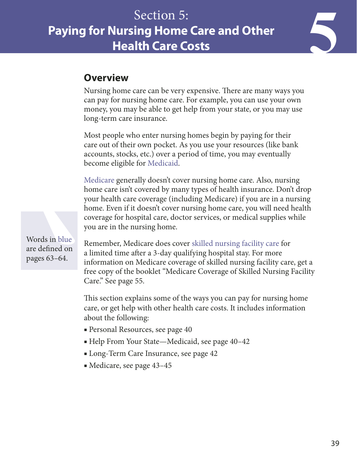![](_page_38_Picture_1.jpeg)

#### **Overview**

Nursing home care can be very expensive. There are many ways you can pay for nursing home care. For example, you can use your own money, you may be able to get help from your state, or you may use long-term care insurance.

Most people who enter nursing homes begin by paying for their care out of their own pocket. As you use your resources (like bank accounts, stocks, etc.) over a period of time, you may eventually become eligible for Medicaid.

Medicare generally doesn't cover nursing home care. Also, nursing home care isn't covered by many types of health insurance. Don't drop your health care coverage (including Medicare) if you are in a nursing home. Even if it doesn't cover nursing home care, you will need health coverage for hospital care, doctor services, or medical supplies while you are in the nursing home.

Words in blue are defined on pages 63–64.

Remember, Medicare does cover skilled nursing facility care for a limited time after a 3-day qualifying hospital stay. For more information on Medicare coverage of skilled nursing facility care, get a free copy of the booklet "Medicare Coverage of Skilled Nursing Facility Care." See page 55.

This section explains some of the ways you can pay for nursing home care, or get help with other health care costs. It includes information about the following:

- Personal Resources, see page 40
- Help From Your State—Medicaid, see page 40–42
- Long-Term Care Insurance, see page 42
- Medicare, see page 43–45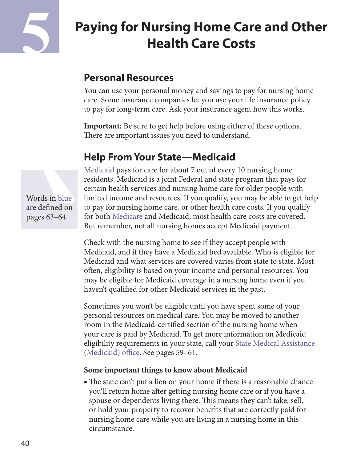![](_page_39_Picture_0.jpeg)

#### **Personal Resources**

You can use your personal money and savings to pay for nursing home care. Some insurance companies let you use your life insurance policy to pay for long-term care. Ask your insurance agent how this works.

**Important:** Be sure to get help before using either of these options. There are important issues you need to understand.

#### **Help From Your State—Medicaid**

Words in blue are defined on pages 63–64.

Medicaid pays for care for about 7 out of every 10 nursing home residents. Medicaid is a joint Federal and state program that pays for certain health services and nursing home care for older people with limited income and resources. If you qualify, you may be able to get help to pay for nursing home care, or other health care costs. If you qualify for both Medicare and Medicaid, most health care costs are covered. But remember, not all nursing homes accept Medicaid payment.

Check with the nursing home to see if they accept people with Medicaid, and if they have a Medicaid bed available. Who is eligible for Medicaid and what services are covered varies from state to state. Most often, eligibility is based on your income and personal resources. You may be eligible for Medicaid coverage in a nursing home even if you haven't qualified for other Medicaid services in the past.

Sometimes you won't be eligible until you have spent some of your personal resources on medical care. You may be moved to another room in the Medicaid-certified section of the nursing home when your care is paid by Medicaid. To get more information on Medicaid eligibility requirements in your state, call your State Medical Assistance (Medicaid) office. See pages 59–61.

#### **Some important things to know about Medicaid**

■ The state can't put a lien on your home if there is a reasonable chance you'll return home after getting nursing home care or if you have a spouse or dependents living there. This means they can't take, sell, or hold your property to recover benefits that are correctly paid for nursing home care while you are living in a nursing home in this circumstance.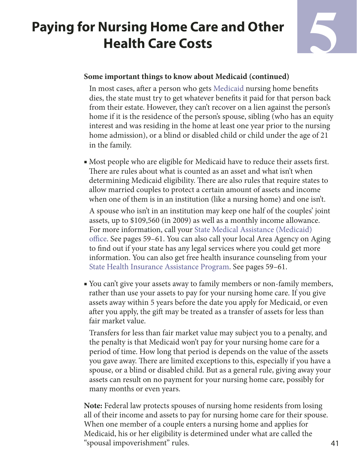![](_page_40_Picture_1.jpeg)

#### **Some important things to know about Medicaid (continued)**

In most cases, after a person who gets Medicaid nursing home benefits dies, the state must try to get whatever benefits it paid for that person back from their estate. However, they can't recover on a lien against the person's home if it is the residence of the person's spouse, sibling (who has an equity interest and was residing in the home at least one year prior to the nursing home admission), or a blind or disabled child or child under the age of 21 in the family.

■ Most people who are eligible for Medicaid have to reduce their assets first. There are rules about what is counted as an asset and what isn't when determining Medicaid eligibility. There are also rules that require states to allow married couples to protect a certain amount of assets and income when one of them is in an institution (like a nursing home) and one isn't.

A spouse who isn't in an institution may keep one half of the couples' joint assets, up to \$109,560 (in 2009) as well as a monthly income allowance. For more information, call your State Medical Assistance (Medicaid) office. See pages 59–61. You can also call your local Area Agency on Aging to find out if your state has any legal services where you could get more information. You can also get free health insurance counseling from your State Health Insurance Assistance Program. See pages 59–61.

■ You can't give your assets away to family members or non-family members, rather than use your assets to pay for your nursing home care. If you give assets away within 5 years before the date you apply for Medicaid, or even after you apply, the gift may be treated as a transfer of assets for less than fair market value.

Transfers for less than fair market value may subject you to a penalty, and the penalty is that Medicaid won't pay for your nursing home care for a period of time. How long that period is depends on the value of the assets you gave away. There are limited exceptions to this, especially if you have a spouse, or a blind or disabled child. But as a general rule, giving away your assets can result on no payment for your nursing home care, possibly for many months or even years.

**Note:** Federal law protects spouses of nursing home residents from losing all of their income and assets to pay for nursing home care for their spouse. When one member of a couple enters a nursing home and applies for Medicaid, his or her eligibility is determined under what are called the "spousal impoverishment" rules.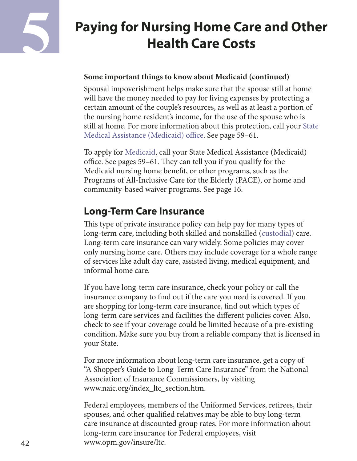![](_page_41_Picture_0.jpeg)

#### **Some important things to know about Medicaid (continued)**

Spousal impoverishment helps make sure that the spouse still at home will have the money needed to pay for living expenses by protecting a certain amount of the couple's resources, as well as at least a portion of the nursing home resident's income, for the use of the spouse who is still at home. For more information about this protection, call your State Medical Assistance (Medicaid) office. See page 59–61.

To apply for Medicaid, call your State Medical Assistance (Medicaid) office. See pages 59–61. They can tell you if you qualify for the Medicaid nursing home benefit, or other programs, such as the Programs of All-Inclusive Care for the Elderly (PACE), or home and community-based waiver programs. See page 16.

#### **Long-Term Care Insurance**

This type of private insurance policy can help pay for many types of long-term care, including both skilled and nonskilled (custodial) care. Long-term care insurance can vary widely. Some policies may cover only nursing home care. Others may include coverage for a whole range of services like adult day care, assisted living, medical equipment, and informal home care.

If you have long-term care insurance, check your policy or call the insurance company to find out if the care you need is covered. If you are shopping for long-term care insurance, find out which types of long-term care services and facilities the different policies cover. Also, check to see if your coverage could be limited because of a pre-existing condition. Make sure you buy from a reliable company that is licensed in your State.

For more information about long-term care insurance, get a copy of "A Shopper's Guide to Long-Term Care Insurance" from the National Association of Insurance Commissioners, by visiting [www.naic.org/index\\_ltc\\_section.htm](www.naic.org/index_ltc_section.htm).

Federal employees, members of the Uniformed Services, retirees, their spouses, and other qualified relatives may be able to buy long-term care insurance at discounted group rates. For more information about long-term care insurance for Federal employees, visit <www.opm.gov/insure/ltc>.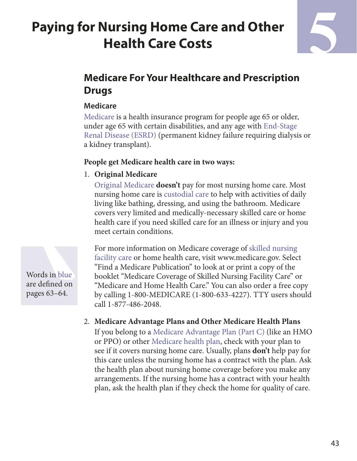![](_page_42_Picture_1.jpeg)

#### **Medicare For Your Healthcare and Prescription Drugs**

#### **Medicare**

Medicare is a health insurance program for people age 65 or older, under age 65 with certain disabilities, and any age with End-Stage Renal Disease (ESRD) (permanent kidney failure requiring dialysis or a kidney transplant).

#### **People get Medicare health care in two ways:**

#### 1. **Original Medicare**

Original Medicare **doesn't** pay for most nursing home care. Most nursing home care is custodial care to help with activities of daily living like bathing, dressing, and using the bathroom. Medicare covers very limited and medically-necessary skilled care or home health care if you need skilled care for an illness or injury and you meet certain conditions.

For more information on Medicare coverage of skilled nursing facility care or home health care, visit [www.medicare.gov.](www.medicare.gov) Select "Find a Medicare Publication" to look at or print a copy of the booklet "Medicare Coverage of Skilled Nursing Facility Care" or "Medicare and Home Health Care." You can also order a free copy by calling 1-800-MEDICARE (1-800-633-4227). TTY users should call 1-877-486-2048.

#### 2. **Medicare Advantage Plans and Other Medicare Health Plans**

If you belong to a Medicare Advantage Plan (Part C) (like an HMO or PPO) or other Medicare health plan, check with your plan to see if it covers nursing home care. Usually, plans **don't** help pay for this care unless the nursing home has a contract with the plan. Ask the health plan about nursing home coverage before you make any arrangements. If the nursing home has a contract with your health plan, ask the health plan if they check the home for quality of care.

![](_page_42_Figure_11.jpeg)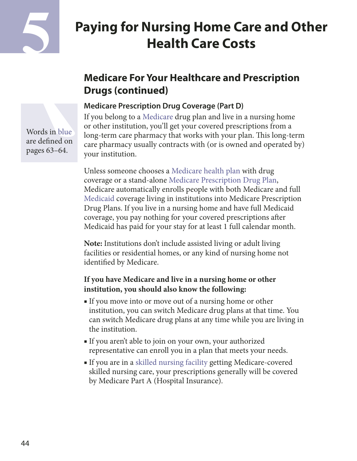![](_page_43_Picture_0.jpeg)

#### **Medicare For Your Healthcare and Prescription Drugs (continued)**

#### **Medicare Prescription Drug Coverage (Part D)**

If you belong to a Medicare drug plan and live in a nursing home or other institution, you'll get your covered prescriptions from a long-term care pharmacy that works with your plan. This long-term care pharmacy usually contracts with (or is owned and operated by) your institution.

Unless someone chooses a Medicare health plan with drug coverage or a stand-alone Medicare Prescription Drug Plan, Medicare automatically enrolls people with both Medicare and full Medicaid coverage living in institutions into Medicare Prescription Drug Plans. If you live in a nursing home and have full Medicaid coverage, you pay nothing for your covered prescriptions after Medicaid has paid for your stay for at least 1 full calendar month.

**Note:** Institutions don't include assisted living or adult living facilities or residential homes, or any kind of nursing home not identified by Medicare.

#### **If you have Medicare and live in a nursing home or other institution, you should also know the following:**

- If you move into or move out of a nursing home or other institution, you can switch Medicare drug plans at that time. You can switch Medicare drug plans at any time while you are living in the institution.
- If you aren't able to join on your own, your authorized representative can enroll you in a plan that meets your needs.
- If you are in a skilled nursing facility getting Medicare-covered skilled nursing care, your prescriptions generally will be covered by Medicare Part A (Hospital Insurance).

Words in blue are defined on pages 63–64.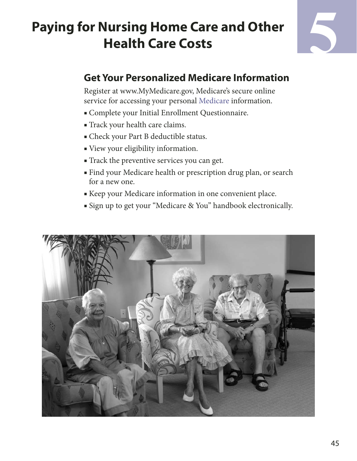![](_page_44_Picture_1.jpeg)

#### **Get Your Personalized Medicare Information**

Register at [www.MyMedicare.gov,](www.MyMedicare.gov) Medicare's secure online service for accessing your personal Medicare information.

- Complete your Initial Enrollment Questionnaire.
- Track your health care claims.
- Check your Part B deductible status.
- View your eligibility information.
- Track the preventive services you can get.
- Find your Medicare health or prescription drug plan, or search for a new one.
- Keep your Medicare information in one convenient place.
- Sign up to get your "Medicare & You" handbook electronically.

![](_page_44_Picture_12.jpeg)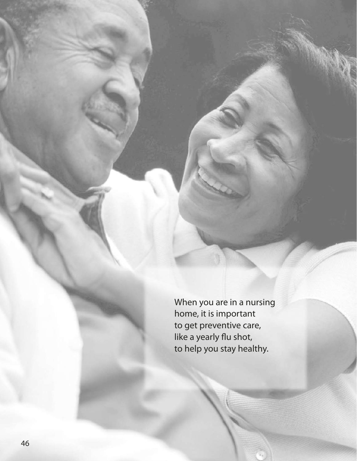When you are in a nursing home, it is important to get preventive care, like a yearly flu shot, to help you stay healthy.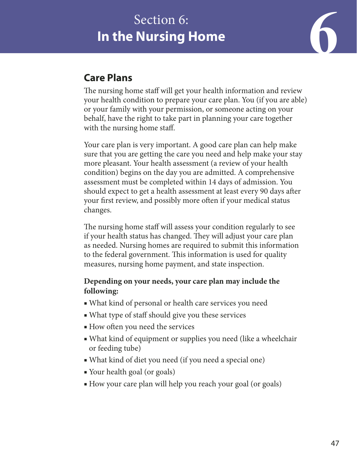## Section 6: **In the Nursing Home**

![](_page_46_Picture_1.jpeg)

#### **Care Plans**

The nursing home staff will get your health information and review your health condition to prepare your care plan. You (if you are able) or your family with your permission, or someone acting on your behalf, have the right to take part in planning your care together with the nursing home staff.

Your care plan is very important. A good care plan can help make sure that you are getting the care you need and help make your stay more pleasant. Your health assessment (a review of your health condition) begins on the day you are admitted. A comprehensive assessment must be completed within 14 days of admission. You should expect to get a health assessment at least every 90 days after your first review, and possibly more often if your medical status changes.

The nursing home staff will assess your condition regularly to see if your health status has changed. They will adjust your care plan as needed. Nursing homes are required to submit this information to the federal government. This information is used for quality measures, nursing home payment, and state inspection.

#### **Depending on your needs, your care plan may include the following:**

- What kind of personal or health care services you need
- What type of staff should give you these services
- How often you need the services
- What kind of equipment or supplies you need (like a wheelchair or feeding tube)
- What kind of diet you need (if you need a special one)
- Your health goal (or goals)
- How your care plan will help you reach your goal (or goals)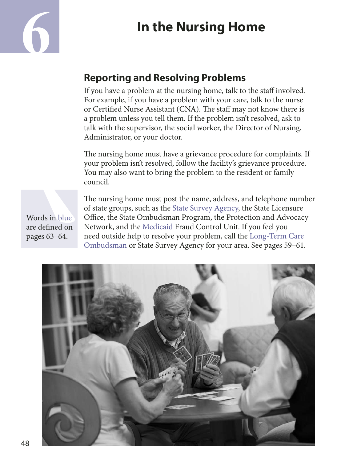![](_page_47_Picture_1.jpeg)

#### **Reporting and Resolving Problems**

If you have a problem at the nursing home, talk to the staff involved. For example, if you have a problem with your care, talk to the nurse or Certified Nurse Assistant (CNA). The staff may not know there is a problem unless you tell them. If the problem isn't resolved, ask to talk with the supervisor, the social worker, the Director of Nursing, Administrator, or your doctor.

The nursing home must have a grievance procedure for complaints. If your problem isn't resolved, follow the facility's grievance procedure. You may also want to bring the problem to the resident or family council.

Words in blue are defined on pages 63–64.

The nursing home must post the name, address, and telephone number of state groups, such as the State Survey Agency, the State Licensure Office, the State Ombudsman Program, the Protection and Advocacy Network, and the Medicaid Fraud Control Unit. If you feel you need outside help to resolve your problem, call the Long-Term Care Ombudsman or State Survey Agency for your area. See pages 59–61.

![](_page_47_Picture_7.jpeg)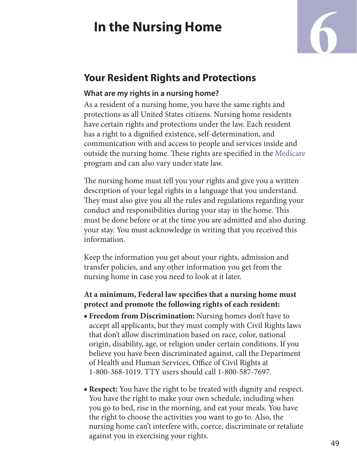![](_page_48_Picture_1.jpeg)

#### **Your Resident Rights and Protections**

#### **What are my rights in a nursing home?**

As a resident of a nursing home, you have the same rights and protections as all United States citizens. Nursing home residents have certain rights and protections under the law. Each resident has a right to a dignified existence, self-determination, and communication with and access to people and services inside and outside the nursing home. These rights are specified in the Medicare program and can also vary under state law.

The nursing home must tell you your rights and give you a written description of your legal rights in a language that you understand. They must also give you all the rules and regulations regarding your conduct and responsibilities during your stay in the home. This must be done before or at the time you are admitted and also during your stay. You must acknowledge in writing that you received this information.

Keep the information you get about your rights, admission and transfer policies, and any other information you get from the nursing home in case you need to look at it later.

#### **At a minimum, Federal law specifies that a nursing home must protect and promote the following rights of each resident:**

- **Freedom from Discrimination:** Nursing homes don't have to accept all applicants, but they must comply with Civil Rights laws that don't allow discrimination based on race, color, national origin, disability, age, or religion under certain conditions. If you believe you have been discriminated against, call the Department of Health and Human Services, Office of Civil Rights at 1-800-368-1019. TTY users should call 1-800-587-7697.
- **Respect:** You have the right to be treated with dignity and respect. You have the right to make your own schedule, including when you go to bed, rise in the morning, and eat your meals. You have the right to choose the activities you want to go to. Also, the nursing home can't interfere with, coerce, discriminate or retaliate against you in exercising your rights.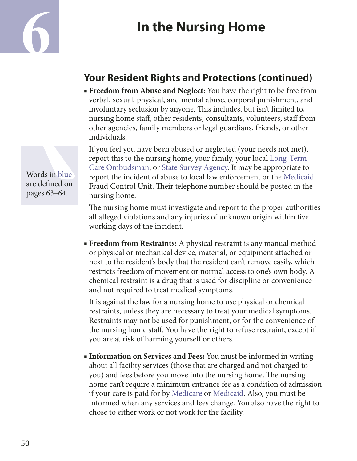#### **Your Resident Rights and Protections (continued)**

■ **Freedom from Abuse and Neglect:** You have the right to be free from verbal, sexual, physical, and mental abuse, corporal punishment, and involuntary seclusion by anyone. This includes, but isn't limited to, nursing home staff, other residents, consultants, volunteers, staff from other agencies, family members or legal guardians, friends, or other individuals.

If you feel you have been abused or neglected (your needs not met), report this to the nursing home, your family, your local Long-Term Care Ombudsman, or State Survey Agency. It may be appropriate to report the incident of abuse to local law enforcement or the Medicaid Fraud Control Unit. Their telephone number should be posted in the nursing home.

The nursing home must investigate and report to the proper authorities all alleged violations and any injuries of unknown origin within five working days of the incident.

**Freedom from Restraints:** A physical restraint is any manual method or physical or mechanical device, material, or equipment attached or next to the resident's body that the resident can't remove easily, which restricts freedom of movement or normal access to one's own body. A chemical restraint is a drug that is used for discipline or convenience and not required to treat medical symptoms.

It is against the law for a nursing home to use physical or chemical restraints, unless they are necessary to treat your medical symptoms. Restraints may not be used for punishment, or for the convenience of the nursing home staff. You have the right to refuse restraint, except if you are at risk of harming yourself or others.

■ **Information on Services and Fees:** You must be informed in writing about all facility services (those that are charged and not charged to you) and fees before you move into the nursing home. The nursing home can't require a minimum entrance fee as a condition of admission if your care is paid for by Medicare or Medicaid. Also, you must be informed when any services and fees change. You also have the right to chose to either work or not work for the facility.

Words in blue are defined on pages 63–64.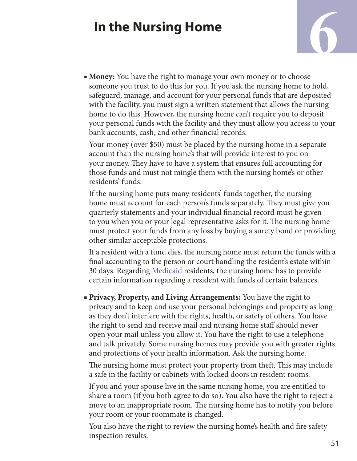![](_page_50_Picture_1.jpeg)

■ **Money:** You have the right to manage your own money or to choose someone you trust to do this for you. If you ask the nursing home to hold, safeguard, manage, and account for your personal funds that are deposited with the facility, you must sign a written statement that allows the nursing home to do this. However, the nursing home can't require you to deposit your personal funds with the facility and they must allow you access to your bank accounts, cash, and other financial records.

Your money (over \$50) must be placed by the nursing home in a separate account than the nursing home's that will provide interest to you on your money. They have to have a system that ensures full accounting for those funds and must not mingle them with the nursing home's or other residents' funds.

If the nursing home puts many residents' funds together, the nursing home must account for each person's funds separately. They must give you quarterly statements and your individual financial record must be given to you when you or your legal representative asks for it. The nursing home must protect your funds from any loss by buying a surety bond or providing other similar acceptable protections.

If a resident with a fund dies, the nursing home must return the funds with a final accounting to the person or court handling the resident's estate within 30 days. Regarding Medicaid residents, the nursing home has to provide certain information regarding a resident with funds of certain balances.

■ **Privacy, Property, and Living Arrangements:** You have the right to privacy and to keep and use your personal belongings and property as long as they don't interfere with the rights, health, or safety of others. You have the right to send and receive mail and nursing home staff should never open your mail unless you allow it. You have the right to use a telephone and talk privately. Some nursing homes may provide you with greater rights and protections of your health information. Ask the nursing home.

The nursing home must protect your property from theft. This may include a safe in the facility or cabinets with locked doors in resident rooms.

If you and your spouse live in the same nursing home, you are entitled to share a room (if you both agree to do so). You also have the right to reject a move to an inappropriate room. The nursing home has to notify you before your room or your roommate is changed.

You also have the right to review the nursing home's health and fire safety inspection results.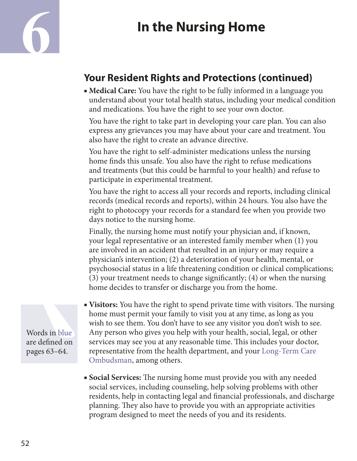#### **Your Resident Rights and Protections (continued)**

■ **Medical Care:** You have the right to be fully informed in a language you understand about your total health status, including your medical condition and medications. You have the right to see your own doctor.

You have the right to take part in developing your care plan. You can also express any grievances you may have about your care and treatment. You also have the right to create an advance directive.

You have the right to self-administer medications unless the nursing home finds this unsafe. You also have the right to refuse medications and treatments (but this could be harmful to your health) and refuse to participate in experimental treatment.

You have the right to access all your records and reports, including clinical records (medical records and reports), within 24 hours. You also have the right to photocopy your records for a standard fee when you provide two days notice to the nursing home.

Finally, the nursing home must notify your physician and, if known, your legal representative or an interested family member when (1) you are involved in an accident that resulted in an injury or may require a physician's intervention; (2) a deterioration of your health, mental, or psychosocial status in a life threatening condition or clinical complications; (3) your treatment needs to change significantly; (4) or when the nursing home decides to transfer or discharge you from the home.

- **Visitors:** You have the right to spend private time with visitors. The nursing home must permit your family to visit you at any time, as long as you wish to see them. You don't have to see any visitor you don't wish to see. Any person who gives you help with your health, social, legal, or other services may see you at any reasonable time. This includes your doctor, representative from the health department, and your Long-Term Care Ombudsman, among others.
- **Social Services:** The nursing home must provide you with any needed social services, including counseling, help solving problems with other residents, help in contacting legal and financial professionals, and discharge planning. They also have to provide you with an appropriate activities program designed to meet the needs of you and its residents.

Words in blue are defined on pages 63–64.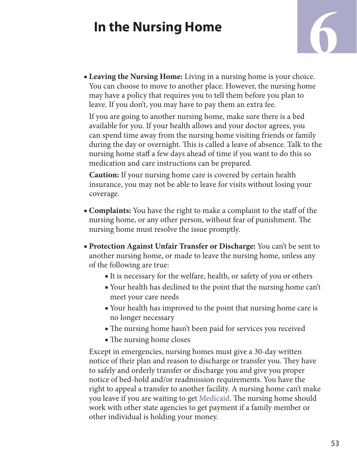![](_page_52_Picture_1.jpeg)

■ **Leaving the Nursing Home:** Living in a nursing home is your choice. You can choose to move to another place. However, the nursing home may have a policy that requires you to tell them before you plan to leave. If you don't, you may have to pay them an extra fee.

If you are going to another nursing home, make sure there is a bed available for you. If your health allows and your doctor agrees, you can spend time away from the nursing home visiting friends or family during the day or overnight. This is called a leave of absence. Talk to the nursing home staff a few days ahead of time if you want to do this so medication and care instructions can be prepared.

**Caution:** If your nursing home care is covered by certain health insurance, you may not be able to leave for visits without losing your coverage.

- **Complaints:** You have the right to make a complaint to the staff of the nursing home, or any other person, without fear of punishment. The nursing home must resolve the issue promptly.
- **Protection Against Unfair Transfer or Discharge:** You can't be sent to another nursing home, or made to leave the nursing home, unless any of the following are true:
	- It is necessary for the welfare, health, or safety of you or others
	- Your health has declined to the point that the nursing home can't meet your care needs
	- Your health has improved to the point that nursing home care is no longer necessary
	- The nursing home hasn't been paid for services you received
	- The nursing home closes

Except in emergencies, nursing homes must give a 30-day written notice of their plan and reason to discharge or transfer you. They have to safely and orderly transfer or discharge you and give you proper notice of bed-hold and/or readmission requirements. You have the right to appeal a transfer to another facility. A nursing home can't make you leave if you are waiting to get Medicaid. The nursing home should work with other state agencies to get payment if a family member or other individual is holding your money.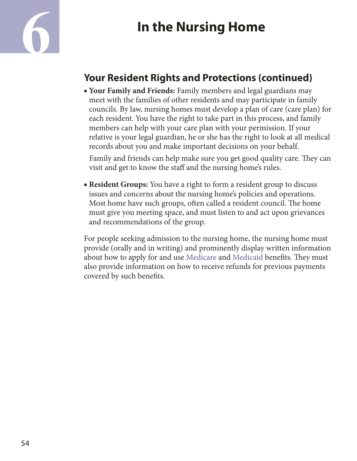#### **Your Resident Rights and Protections (continued)**

■ **Your Family and Friends:** Family members and legal guardians may meet with the families of other residents and may participate in family councils. By law, nursing homes must develop a plan of care (care plan) for each resident. You have the right to take part in this process, and family members can help with your care plan with your permission. If your relative is your legal guardian, he or she has the right to look at all medical records about you and make important decisions on your behalf.

Family and friends can help make sure you get good quality care. They can visit and get to know the staff and the nursing home's rules.

■ **Resident Groups:** You have a right to form a resident group to discuss issues and concerns about the nursing home's policies and operations. Most home have such groups, often called a resident council. The home must give you meeting space, and must listen to and act upon grievances and recommendations of the group.

For people seeking admission to the nursing home, the nursing home must provide (orally and in writing) and prominently display written information about how to apply for and use Medicare and Medicaid benefits. They must also provide information on how to receive refunds for previous payments covered by such benefits.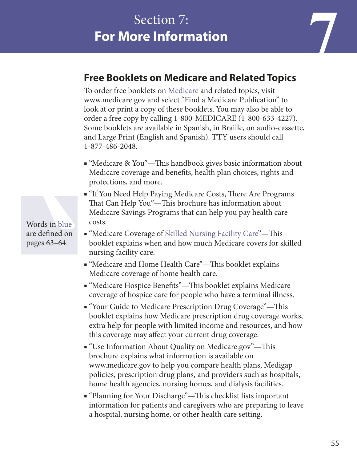## Section 7: **For More Information**

![](_page_54_Picture_1.jpeg)

#### **Free Booklets on Medicare and Related Topics**

To order free booklets on Medicare and related topics, visit <www.medicare.gov>and select "Find a Medicare Publication" to look at or print a copy of these booklets. You may also be able to order a free copy by calling 1-800-MEDICARE (1-800-633-4227). Some booklets are available in Spanish, in Braille, on audio-cassette, and Large Print (English and Spanish). TTY users should call 1-877-486-2048.

- "Medicare & You"—This handbook gives basic information about Medicare coverage and benefits, health plan choices, rights and protections, and more.
- "If You Need Help Paying Medicare Costs, There Are Programs That Can Help You"—This brochure has information about Medicare Savings Programs that can help you pay health care costs.
- "Medicare Coverage of Skilled Nursing Facility Care"—This booklet explains when and how much Medicare covers for skilled nursing facility care.
- "Medicare and Home Health Care"—This booklet explains Medicare coverage of home health care.
- "Medicare Hospice Benefits"—This booklet explains Medicare coverage of hospice care for people who have a terminal illness.
- "Your Guide to Medicare Prescription Drug Coverage"—This booklet explains how Medicare prescription drug coverage works, extra help for people with limited income and resources, and how this coverage may affect your current drug coverage.
- "Use Information About Quality on Medicare.gov"—This brochure explains what information is available on <www.medicare.gov> to help you compare health plans, Medigap policies, prescription drug plans, and providers such as hospitals, home health agencies, nursing homes, and dialysis facilities.
- "Planning for Your Discharge"—This checklist lists important information for patients and caregivers who are preparing to leave a hospital, nursing home, or other health care setting.

Words in blue are defined on pages 63–64.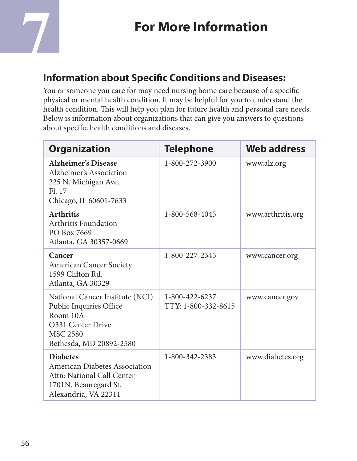#### **Information about Specific Conditions and Diseases:**

You or someone you care for may need nursing home care because of a specific physical or mental health condition. It may be helpful for you to understand the health condition. This will help you plan for future health and personal care needs. Below is information about organizations that can give you answers to questions about specific health conditions and diseases.

| <b>Organization</b>                                                                                                                                     | <b>Telephone</b>                      | <b>Web address</b> |
|---------------------------------------------------------------------------------------------------------------------------------------------------------|---------------------------------------|--------------------|
| <b>Alzheimer's Disease</b><br>Alzheimer's Association<br>225 N. Michigan Ave.<br>Fl. 17<br>Chicago, IL 60601-7633                                       | 1-800-272-3900                        | www.alz.org        |
| <b>Arthritis</b><br><b>Arthritis Foundation</b><br>PO Box 7669<br>Atlanta, GA 30357-0669                                                                | 1-800-568-4045                        | www.arthritis.org  |
| Cancer<br><b>American Cancer Society</b><br>1599 Clifton Rd.<br>Atlanta, GA 30329                                                                       | 1-800-227-2345                        | www.cancer.org     |
| National Cancer Institute (NCI)<br><b>Public Inquiries Office</b><br>Room 10A<br><b>O331 Center Drive</b><br><b>MSC 2580</b><br>Bethesda, MD 20892-2580 | 1-800-422-6237<br>TTY: 1-800-332-8615 | www.cancer.gov     |
| <b>Diabetes</b><br><b>American Diabetes Association</b><br>Attn: National Call Center<br>1701N. Beauregard St.<br>Alexandria, VA 22311                  | 1-800-342-2383                        | www.diabetes.org   |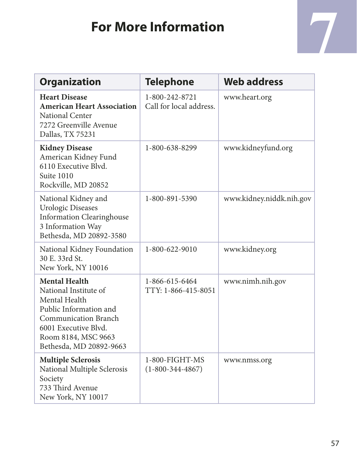![](_page_56_Picture_1.jpeg)

| <b>Organization</b>                                                                                                                                                                               | <b>Telephone</b>                          | <b>Web address</b>       |
|---------------------------------------------------------------------------------------------------------------------------------------------------------------------------------------------------|-------------------------------------------|--------------------------|
| <b>Heart Disease</b><br><b>American Heart Association</b><br><b>National Center</b><br>7272 Greenville Avenue<br>Dallas, TX 75231                                                                 | 1-800-242-8721<br>Call for local address. | www.heart.org            |
| <b>Kidney Disease</b><br>American Kidney Fund<br>6110 Executive Blvd.<br>Suite 1010<br>Rockville, MD 20852                                                                                        | 1-800-638-8299                            | www.kidneyfund.org       |
| National Kidney and<br><b>Urologic Diseases</b><br><b>Information Clearinghouse</b><br>3 Information Way<br>Bethesda, MD 20892-3580                                                               | 1-800-891-5390                            | www.kidney.niddk.nih.gov |
| National Kidney Foundation<br>30 E. 33rd St.<br>New York, NY 10016                                                                                                                                | 1-800-622-9010                            | www.kidney.org           |
| <b>Mental Health</b><br>National Institute of<br>Mental Health<br>Public Information and<br><b>Communication Branch</b><br>6001 Executive Blvd.<br>Room 8184, MSC 9663<br>Bethesda, MD 20892-9663 | 1-866-615-6464<br>TTY: 1-866-415-8051     | www.nimh.nih.gov         |
| <b>Multiple Sclerosis</b><br>National Multiple Sclerosis<br>Society<br>733 Third Avenue<br>New York, NY 10017                                                                                     | 1-800-FIGHT-MS<br>$(1-800-344-4867)$      | www.nmss.org             |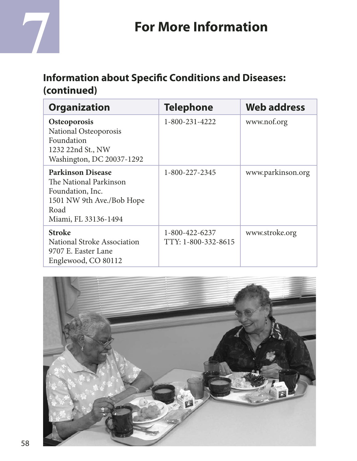#### **Information about Specific Conditions and Diseases: (continued)**

| <b>Organization</b>                                                                                                                 | <b>Telephone</b>                      | <b>Web address</b> |
|-------------------------------------------------------------------------------------------------------------------------------------|---------------------------------------|--------------------|
| Osteoporosis<br>National Osteoporosis<br>Foundation<br>1232 22nd St., NW<br>Washington, DC 20037-1292                               | 1-800-231-4222                        | www.nof.org        |
| <b>Parkinson Disease</b><br>The National Parkinson<br>Foundation, Inc.<br>1501 NW 9th Ave./Bob Hope<br>Road<br>Miami, FL 33136-1494 | 1-800-227-2345                        | www.parkinson.org  |
| <b>Stroke</b><br><b>National Stroke Association</b><br>9707 E. Easter Lane<br>Englewood, CO 80112                                   | 1-800-422-6237<br>TTY: 1-800-332-8615 | www.stroke.org     |

![](_page_57_Picture_3.jpeg)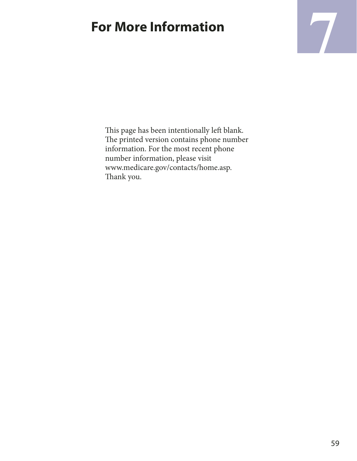This page has been intentionally left blank. The printed version contains phone number information. For the most recent phone number information, please visit [www.medicare.gov/contacts/home.asp.](www.medicare.gov/contacts/home.asp) Thank you.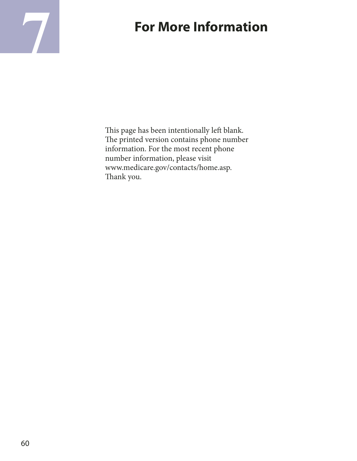This page has been intentionally left blank. The printed version contains phone number information. For the most recent phone number information, please visit [www.medicare.gov/contacts/home.asp.](http://www.medicare.gov/contacts/home.asp) Thank you.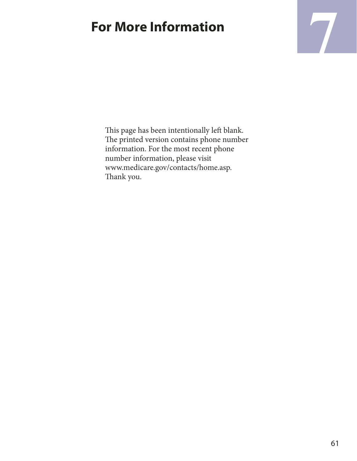This page has been intentionally left blank. The printed version contains phone number information. For the most recent phone number information, please visit [www.medicare.gov/contacts/home.asp.](http://www.medicare.gov/contacts/home.asp) Thank you.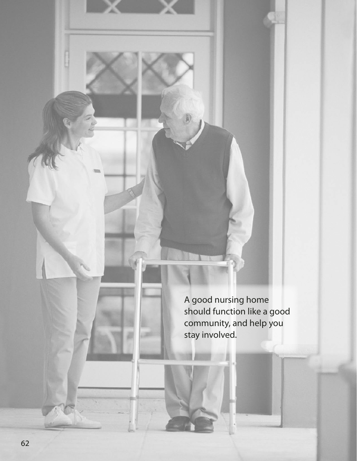A good nursing home should function like a good community, and help you stay involved.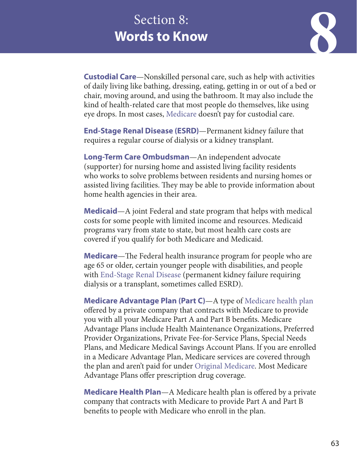## Section 8: **Words to Know**

![](_page_62_Picture_1.jpeg)

**Custodial Care**—Nonskilled personal care, such as help with activities of daily living like bathing, dressing, eating, getting in or out of a bed or chair, moving around, and using the bathroom. It may also include the kind of health-related care that most people do themselves, like using eye drops. In most cases, Medicare doesn't pay for custodial care.

**End-Stage Renal Disease (ESRD)**—Permanent kidney failure that requires a regular course of dialysis or a kidney transplant.

**Long-Term Care Ombudsman**—An independent advocate (supporter) for nursing home and assisted living facility residents who works to solve problems between residents and nursing homes or assisted living facilities. They may be able to provide information about home health agencies in their area.

**Medicaid**—A joint Federal and state program that helps with medical costs for some people with limited income and resources. Medicaid programs vary from state to state, but most health care costs are covered if you qualify for both Medicare and Medicaid.

**Medicare**—The Federal health insurance program for people who are age 65 or older, certain younger people with disabilities, and people with End-Stage Renal Disease (permanent kidney failure requiring dialysis or a transplant, sometimes called ESRD).

**Medicare Advantage Plan (Part C)**—A type of Medicare health plan offered by a private company that contracts with Medicare to provide you with all your Medicare Part A and Part B benefits. Medicare Advantage Plans include Health Maintenance Organizations, Preferred Provider Organizations, Private Fee-for-Service Plans, Special Needs Plans, and Medicare Medical Savings Account Plans. If you are enrolled in a Medicare Advantage Plan, Medicare services are covered through the plan and aren't paid for under Original Medicare. Most Medicare Advantage Plans offer prescription drug coverage.

**Medicare Health Plan**—A Medicare health plan is offered by a private company that contracts with Medicare to provide Part A and Part B benefits to people with Medicare who enroll in the plan.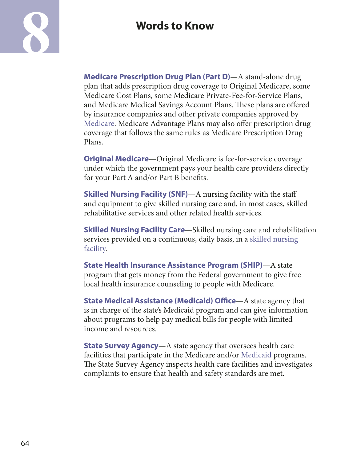**Medicare Prescription Drug Plan (Part D)**—A stand-alone drug plan that adds prescription drug coverage to Original Medicare, some Medicare Cost Plans, some Medicare Private-Fee-for-Service Plans, and Medicare Medical Savings Account Plans. These plans are offered by insurance companies and other private companies approved by Medicare. Medicare Advantage Plans may also offer prescription drug coverage that follows the same rules as Medicare Prescription Drug Plans.

**Original Medicare**—Original Medicare is fee-for-service coverage under which the government pays your health care providers directly for your Part A and/or Part B benefits.

**Skilled Nursing Facility (SNF)**—A nursing facility with the staff and equipment to give skilled nursing care and, in most cases, skilled rehabilitative services and other related health services.

**Skilled Nursing Facility Care**—Skilled nursing care and rehabilitation services provided on a continuous, daily basis, in a skilled nursing facility.

**State Health Insurance Assistance Program (SHIP)**—A state program that gets money from the Federal government to give free local health insurance counseling to people with Medicare.

**State Medical Assistance (Medicaid) Office**—A state agency that is in charge of the state's Medicaid program and can give information about programs to help pay medical bills for people with limited income and resources.

**State Survey Agency**—A state agency that oversees health care facilities that participate in the Medicare and/or Medicaid programs. The State Survey Agency inspects health care facilities and investigates complaints to ensure that health and safety standards are met.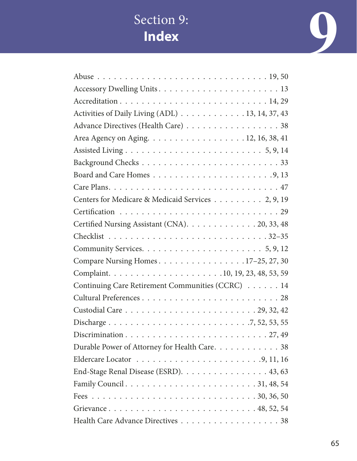# Section 9: **Index**

![](_page_64_Picture_1.jpeg)

| Activities of Daily Living (ADL) 13, 14, 37, 43   |
|---------------------------------------------------|
| Advance Directives (Health Care) 38               |
| Area Agency on Aging. 12, 16, 38, 41              |
|                                                   |
|                                                   |
|                                                   |
|                                                   |
| Centers for Medicare & Medicaid Services 2, 9, 19 |
|                                                   |
| Certified Nursing Assistant (CNA). 20, 33, 48     |
|                                                   |
|                                                   |
| Compare Nursing Homes17-25, 27, 30                |
|                                                   |
| Continuing Care Retirement Communities (CCRC) 14  |
|                                                   |
|                                                   |
|                                                   |
|                                                   |
| Durable Power of Attorney for Health Care. 38     |
|                                                   |
| End-Stage Renal Disease (ESRD). 43, 63            |
|                                                   |
|                                                   |
|                                                   |
|                                                   |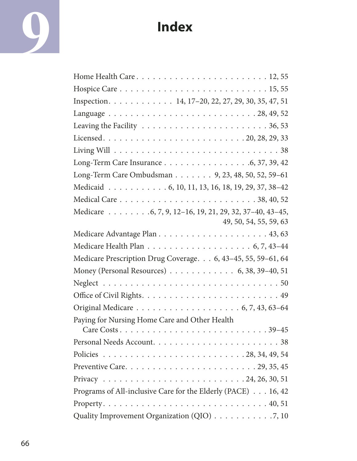# **Index**

![](_page_65_Picture_1.jpeg)

| Inspection. 14, 17–20, 22, 27, 29, 30, 35, 47, 51                                         |
|-------------------------------------------------------------------------------------------|
|                                                                                           |
| Leaving the Facility $\dots \dots \dots \dots \dots \dots \dots \dots \dots \dots 36, 53$ |
|                                                                                           |
|                                                                                           |
|                                                                                           |
| Long-Term Care Ombudsman 9, 23, 48, 50, 52, 59-61                                         |
| Medicaid 6, 10, 11, 13, 16, 18, 19, 29, 37, 38-42                                         |
|                                                                                           |
| Medicare 6, 7, 9, 12-16, 19, 21, 29, 32, 37-40, 43-45,                                    |
| 49, 50, 54, 55, 59, 63                                                                    |
|                                                                                           |
|                                                                                           |
| Medicare Prescription Drug Coverage. 6, 43-45, 55, 59-61, 64                              |
| Money (Personal Resources) 6, 38, 39-40, 51                                               |
|                                                                                           |
|                                                                                           |
|                                                                                           |
| Paying for Nursing Home Care and Other Health                                             |
| $.39 - 45$<br>Care Costs                                                                  |
|                                                                                           |
|                                                                                           |
|                                                                                           |
|                                                                                           |
| Programs of All-inclusive Care for the Elderly (PACE) 16, 42                              |
|                                                                                           |
| Quality Improvement Organization (QIO) 7, 10                                              |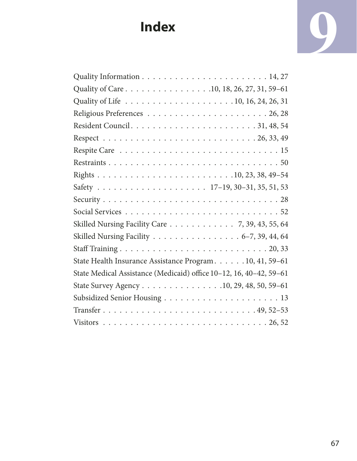# **Index**

![](_page_66_Picture_1.jpeg)

| Quality of Care 10, 18, 26, 27, 31, 59-61                                      |
|--------------------------------------------------------------------------------|
|                                                                                |
|                                                                                |
|                                                                                |
|                                                                                |
|                                                                                |
|                                                                                |
|                                                                                |
|                                                                                |
|                                                                                |
|                                                                                |
| Skilled Nursing Facility Care 7, 39, 43, 55, 64                                |
| Skilled Nursing Facility $\dots \dots \dots \dots \dots \dots 6-7, 39, 44, 64$ |
|                                                                                |
| State Health Insurance Assistance Program. 10, 41, 59–61                       |
| State Medical Assistance (Medicaid) office 10-12, 16, 40-42, 59-61             |
| State Survey Agency 10, 29, 48, 50, 59-61                                      |
|                                                                                |
|                                                                                |
|                                                                                |